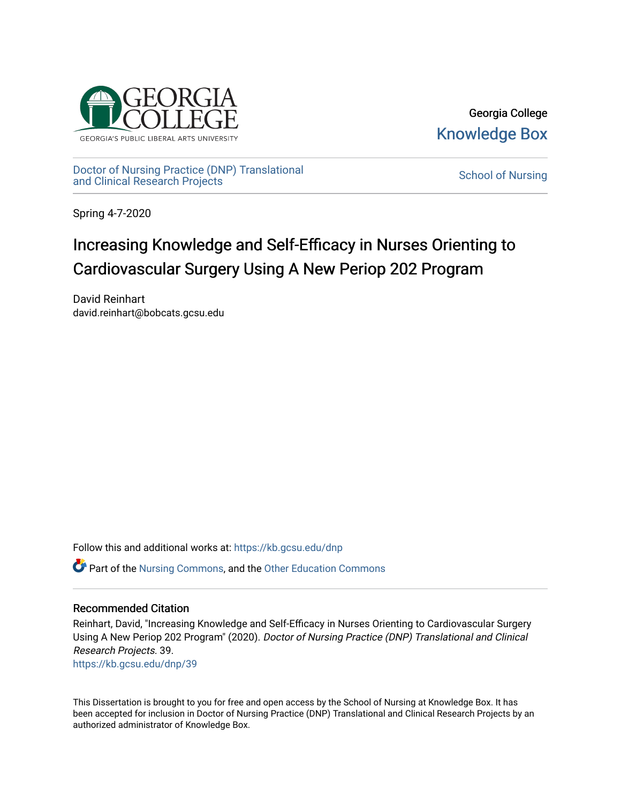

Georgia College [Knowledge Box](https://kb.gcsu.edu/) 

[Doctor of Nursing Practice \(DNP\) Translational](https://kb.gcsu.edu/dnp)  <u>Doctor of Nursing Practice (DNP)</u> Translational [School of Nursing](https://kb.gcsu.edu/snc) School of Nursing and Clinical Research Projects

Spring 4-7-2020

# Increasing Knowledge and Self-Efficacy in Nurses Orienting to Cardiovascular Surgery Using A New Periop 202 Program

David Reinhart david.reinhart@bobcats.gcsu.edu

Follow this and additional works at: [https://kb.gcsu.edu/dnp](https://kb.gcsu.edu/dnp?utm_source=kb.gcsu.edu%2Fdnp%2F39&utm_medium=PDF&utm_campaign=PDFCoverPages) 

Part of the [Nursing Commons,](http://network.bepress.com/hgg/discipline/718?utm_source=kb.gcsu.edu%2Fdnp%2F39&utm_medium=PDF&utm_campaign=PDFCoverPages) and the [Other Education Commons](http://network.bepress.com/hgg/discipline/811?utm_source=kb.gcsu.edu%2Fdnp%2F39&utm_medium=PDF&utm_campaign=PDFCoverPages)

#### Recommended Citation

Reinhart, David, "Increasing Knowledge and Self-Efficacy in Nurses Orienting to Cardiovascular Surgery Using A New Periop 202 Program" (2020). Doctor of Nursing Practice (DNP) Translational and Clinical Research Projects. 39. [https://kb.gcsu.edu/dnp/39](https://kb.gcsu.edu/dnp/39?utm_source=kb.gcsu.edu%2Fdnp%2F39&utm_medium=PDF&utm_campaign=PDFCoverPages) 

This Dissertation is brought to you for free and open access by the School of Nursing at Knowledge Box. It has been accepted for inclusion in Doctor of Nursing Practice (DNP) Translational and Clinical Research Projects by an authorized administrator of Knowledge Box.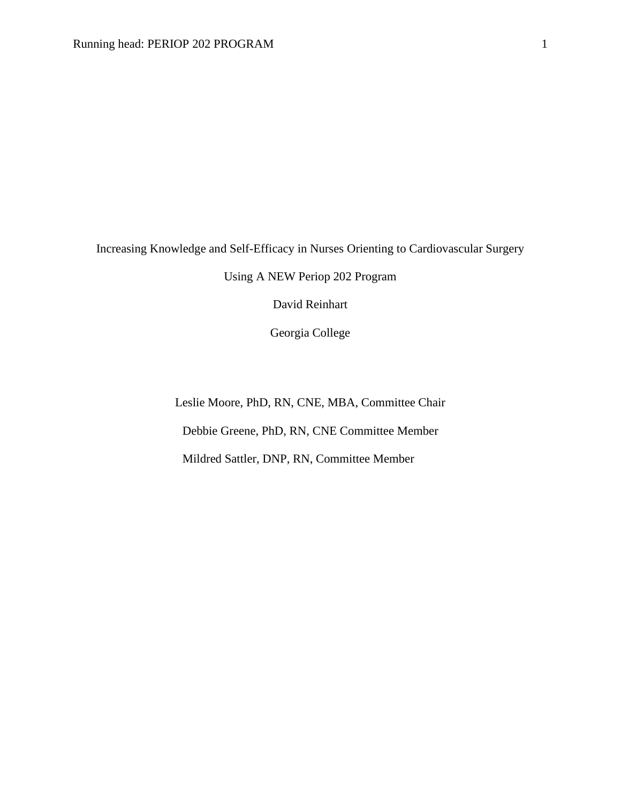Increasing Knowledge and Self-Efficacy in Nurses Orienting to Cardiovascular Surgery

Using A NEW Periop 202 Program

David Reinhart

Georgia College

Leslie Moore, PhD, RN, CNE, MBA, Committee Chair Debbie Greene, PhD, RN, CNE Committee Member Mildred Sattler, DNP, RN, Committee Member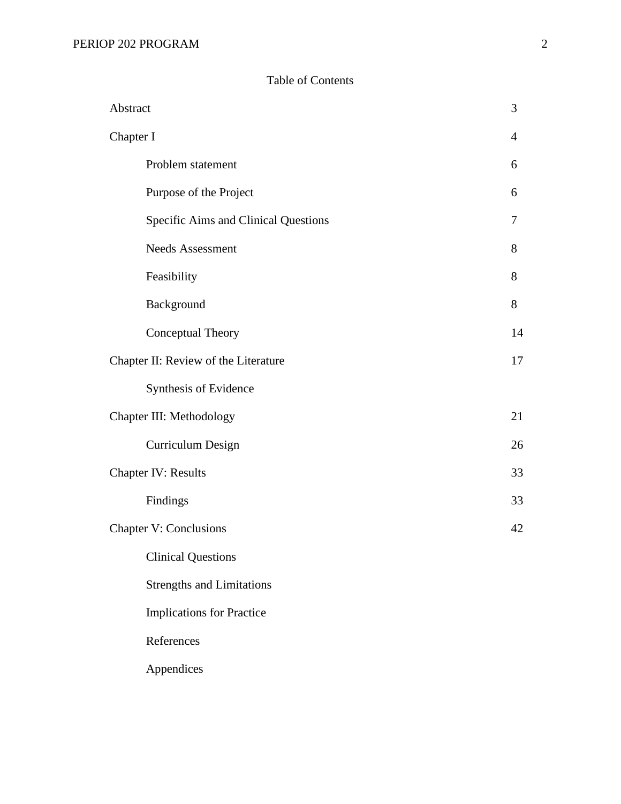## Table of Contents

| Abstract  |                                      | 3              |
|-----------|--------------------------------------|----------------|
| Chapter I |                                      | $\overline{4}$ |
|           | Problem statement                    | 6              |
|           | Purpose of the Project               | 6              |
|           | Specific Aims and Clinical Questions | 7              |
|           | <b>Needs Assessment</b>              | 8              |
|           | Feasibility                          | 8              |
|           | Background                           | 8              |
|           | Conceptual Theory                    | 14             |
|           | Chapter II: Review of the Literature | 17             |
|           | Synthesis of Evidence                |                |
|           | Chapter III: Methodology             | 21             |
|           | Curriculum Design                    | 26             |
|           | <b>Chapter IV: Results</b>           | 33             |
|           | Findings                             | 33             |
|           | <b>Chapter V: Conclusions</b>        | 42             |
|           | <b>Clinical Questions</b>            |                |
|           | <b>Strengths and Limitations</b>     |                |
|           | <b>Implications for Practice</b>     |                |
|           | References                           |                |
|           | Appendices                           |                |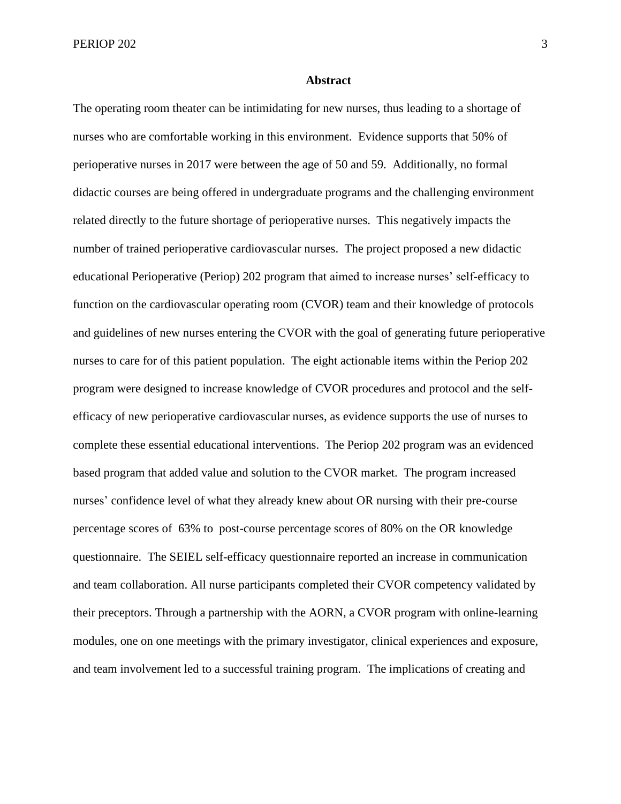PERIOP 202 3

#### **Abstract**

The operating room theater can be intimidating for new nurses, thus leading to a shortage of nurses who are comfortable working in this environment. Evidence supports that 50% of perioperative nurses in 2017 were between the age of 50 and 59. Additionally, no formal didactic courses are being offered in undergraduate programs and the challenging environment related directly to the future shortage of perioperative nurses. This negatively impacts the number of trained perioperative cardiovascular nurses. The project proposed a new didactic educational Perioperative (Periop) 202 program that aimed to increase nurses' self-efficacy to function on the cardiovascular operating room (CVOR) team and their knowledge of protocols and guidelines of new nurses entering the CVOR with the goal of generating future perioperative nurses to care for of this patient population. The eight actionable items within the Periop 202 program were designed to increase knowledge of CVOR procedures and protocol and the selfefficacy of new perioperative cardiovascular nurses, as evidence supports the use of nurses to complete these essential educational interventions. The Periop 202 program was an evidenced based program that added value and solution to the CVOR market. The program increased nurses' confidence level of what they already knew about OR nursing with their pre-course percentage scores of 63% to post-course percentage scores of 80% on the OR knowledge questionnaire. The SEIEL self-efficacy questionnaire reported an increase in communication and team collaboration. All nurse participants completed their CVOR competency validated by their preceptors. Through a partnership with the AORN, a CVOR program with online-learning modules, one on one meetings with the primary investigator, clinical experiences and exposure, and team involvement led to a successful training program. The implications of creating and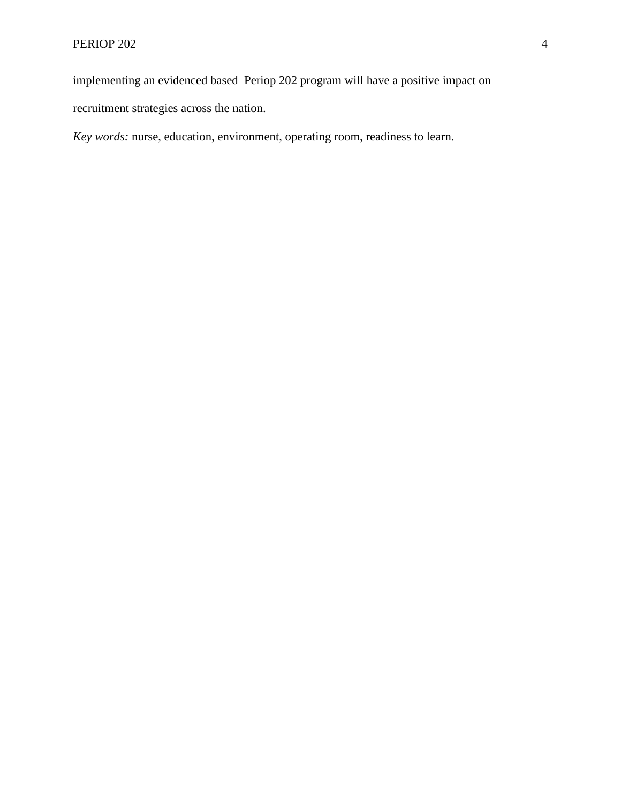implementing an evidenced based Periop 202 program will have a positive impact on

recruitment strategies across the nation.

*Key words:* nurse, education, environment, operating room, readiness to learn.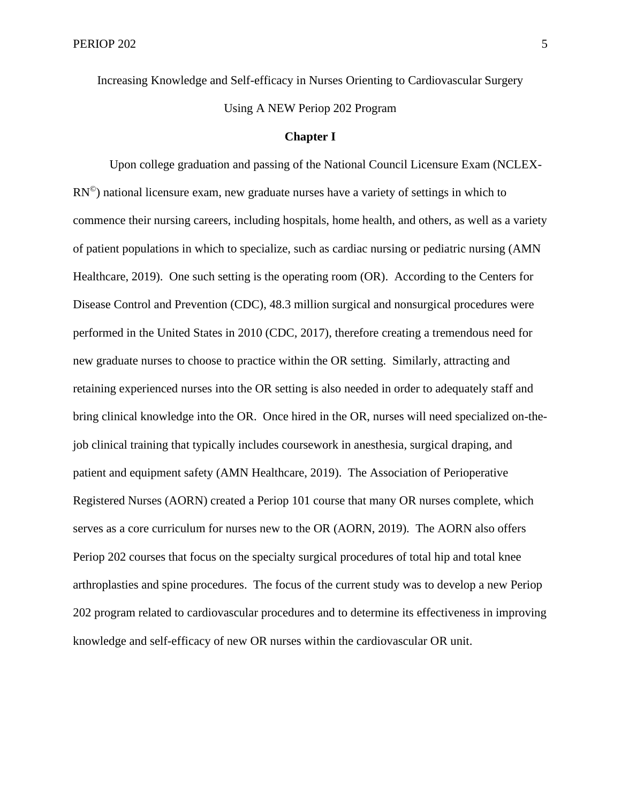Increasing Knowledge and Self-efficacy in Nurses Orienting to Cardiovascular Surgery Using A NEW Periop 202 Program

#### **Chapter I**

Upon college graduation and passing of the National Council Licensure Exam (NCLEX- $RN^{\circledcirc}$ ) national licensure exam, new graduate nurses have a variety of settings in which to commence their nursing careers, including hospitals, home health, and others, as well as a variety of patient populations in which to specialize, such as cardiac nursing or pediatric nursing (AMN Healthcare, 2019). One such setting is the operating room (OR). According to the Centers for Disease Control and Prevention (CDC), 48.3 million surgical and nonsurgical procedures were performed in the United States in 2010 (CDC, 2017), therefore creating a tremendous need for new graduate nurses to choose to practice within the OR setting. Similarly, attracting and retaining experienced nurses into the OR setting is also needed in order to adequately staff and bring clinical knowledge into the OR. Once hired in the OR, nurses will need specialized on-thejob clinical training that typically includes coursework in anesthesia, surgical draping, and patient and equipment safety (AMN Healthcare, 2019). The Association of Perioperative Registered Nurses (AORN) created a Periop 101 course that many OR nurses complete, which serves as a core curriculum for nurses new to the OR (AORN, 2019). The AORN also offers Periop 202 courses that focus on the specialty surgical procedures of total hip and total knee arthroplasties and spine procedures. The focus of the current study was to develop a new Periop 202 program related to cardiovascular procedures and to determine its effectiveness in improving knowledge and self-efficacy of new OR nurses within the cardiovascular OR unit.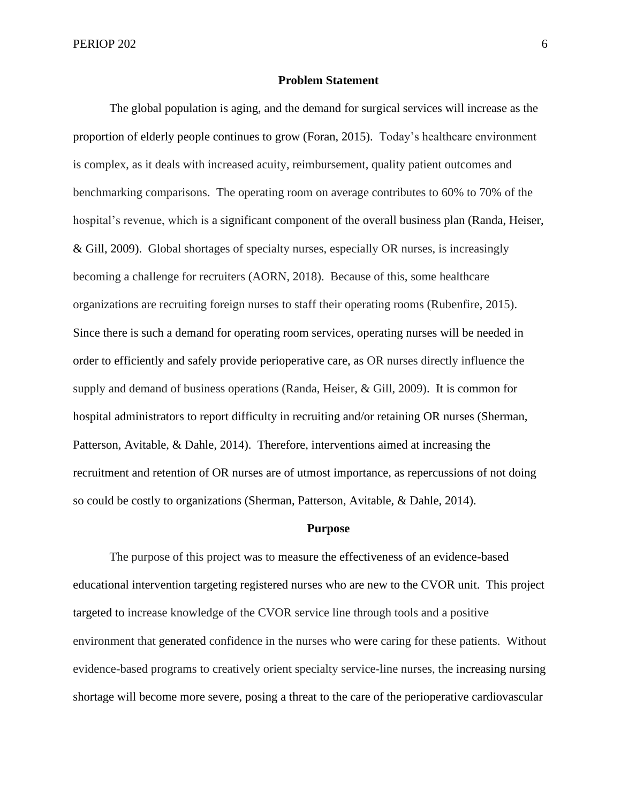#### **Problem Statement**

The global population is aging, and the demand for surgical services will increase as the proportion of elderly people continues to grow (Foran, 2015). Today's healthcare environment is complex, as it deals with increased acuity, reimbursement, quality patient outcomes and benchmarking comparisons. The operating room on average contributes to 60% to 70% of the hospital's revenue, which is a significant component of the overall business plan (Randa, Heiser, & Gill, 2009). Global shortages of specialty nurses, especially OR nurses, is increasingly becoming a challenge for recruiters (AORN, 2018). Because of this, some healthcare organizations are recruiting foreign nurses to staff their operating rooms (Rubenfire, 2015). Since there is such a demand for operating room services, operating nurses will be needed in order to efficiently and safely provide perioperative care, as OR nurses directly influence the supply and demand of business operations (Randa, Heiser, & Gill, 2009). It is common for hospital administrators to report difficulty in recruiting and/or retaining OR nurses (Sherman, Patterson, Avitable, & Dahle, 2014). Therefore, interventions aimed at increasing the recruitment and retention of OR nurses are of utmost importance, as repercussions of not doing so could be costly to organizations (Sherman, Patterson, Avitable, & Dahle, 2014).

#### **Purpose**

The purpose of this project was to measure the effectiveness of an evidence-based educational intervention targeting registered nurses who are new to the CVOR unit. This project targeted to increase knowledge of the CVOR service line through tools and a positive environment that generated confidence in the nurses who were caring for these patients. Without evidence-based programs to creatively orient specialty service-line nurses, the increasing nursing shortage will become more severe, posing a threat to the care of the perioperative cardiovascular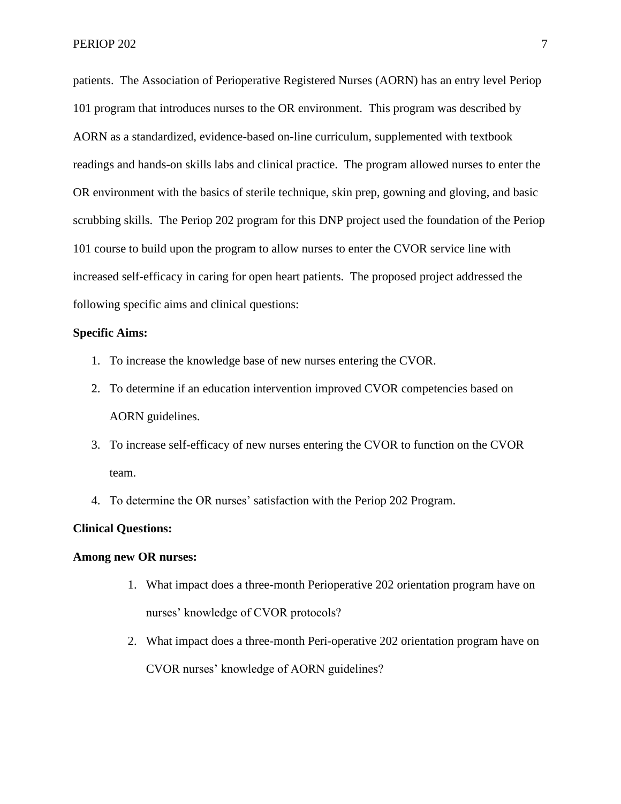patients. The Association of Perioperative Registered Nurses (AORN) has an entry level Periop 101 program that introduces nurses to the OR environment. This program was described by AORN as a standardized, evidence-based on-line curriculum, supplemented with textbook readings and hands-on skills labs and clinical practice. The program allowed nurses to enter the OR environment with the basics of sterile technique, skin prep, gowning and gloving, and basic scrubbing skills. The Periop 202 program for this DNP project used the foundation of the Periop 101 course to build upon the program to allow nurses to enter the CVOR service line with increased self-efficacy in caring for open heart patients. The proposed project addressed the following specific aims and clinical questions:

#### **Specific Aims:**

- 1. To increase the knowledge base of new nurses entering the CVOR.
- 2. To determine if an education intervention improved CVOR competencies based on AORN guidelines.
- 3. To increase self-efficacy of new nurses entering the CVOR to function on the CVOR team.
- 4. To determine the OR nurses' satisfaction with the Periop 202 Program.

#### **Clinical Questions:**

#### **Among new OR nurses:**

- 1. What impact does a three-month Perioperative 202 orientation program have on nurses' knowledge of CVOR protocols?
- 2. What impact does a three-month Peri-operative 202 orientation program have on CVOR nurses' knowledge of AORN guidelines?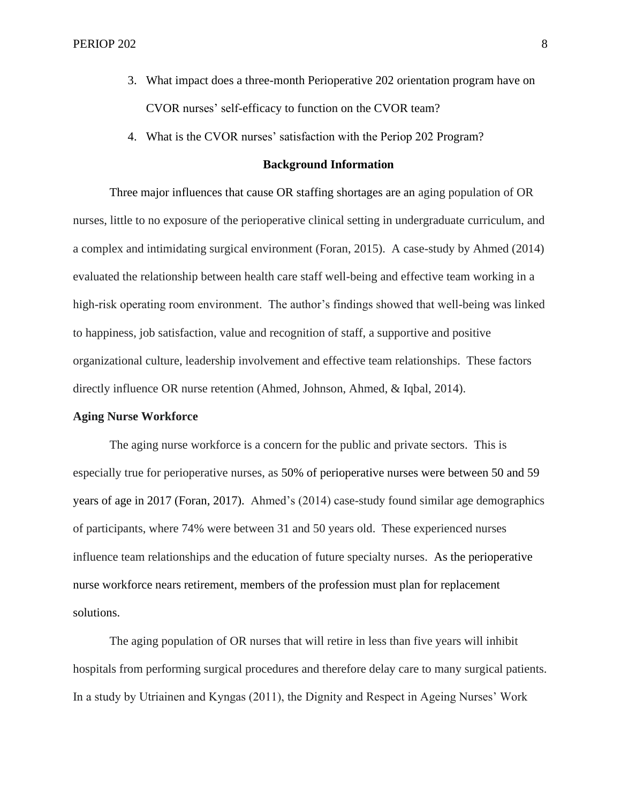- 3. What impact does a three-month Perioperative 202 orientation program have on CVOR nurses' self-efficacy to function on the CVOR team?
- 4. What is the CVOR nurses' satisfaction with the Periop 202 Program?

#### **Background Information**

Three major influences that cause OR staffing shortages are an aging population of OR nurses, little to no exposure of the perioperative clinical setting in undergraduate curriculum, and a complex and intimidating surgical environment (Foran, 2015). A case-study by Ahmed (2014) evaluated the relationship between health care staff well-being and effective team working in a high-risk operating room environment. The author's findings showed that well-being was linked to happiness, job satisfaction, value and recognition of staff, a supportive and positive organizational culture, leadership involvement and effective team relationships. These factors directly influence OR nurse retention (Ahmed, Johnson, Ahmed, & Iqbal, 2014).

#### **Aging Nurse Workforce**

The aging nurse workforce is a concern for the public and private sectors. This is especially true for perioperative nurses, as 50% of perioperative nurses were between 50 and 59 years of age in 2017 (Foran, 2017). Ahmed's (2014) case-study found similar age demographics of participants, where 74% were between 31 and 50 years old. These experienced nurses influence team relationships and the education of future specialty nurses. As the perioperative nurse workforce nears retirement, members of the profession must plan for replacement solutions.

The aging population of OR nurses that will retire in less than five years will inhibit hospitals from performing surgical procedures and therefore delay care to many surgical patients. In a study by Utriainen and Kyngas (2011), the Dignity and Respect in Ageing Nurses' Work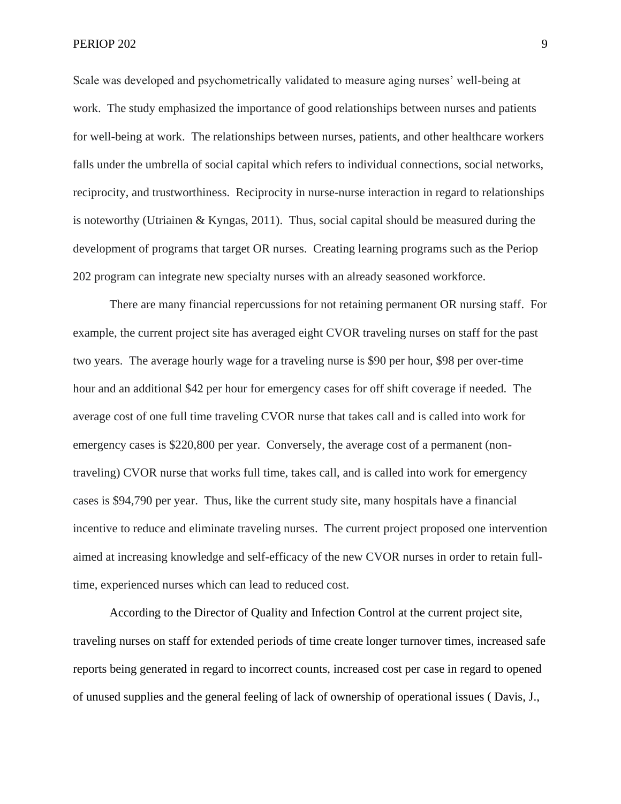Scale was developed and psychometrically validated to measure aging nurses' well-being at work. The study emphasized the importance of good relationships between nurses and patients for well-being at work. The relationships between nurses, patients, and other healthcare workers falls under the umbrella of social capital which refers to individual connections, social networks, reciprocity, and trustworthiness. Reciprocity in nurse-nurse interaction in regard to relationships is noteworthy (Utriainen & Kyngas, 2011). Thus, social capital should be measured during the development of programs that target OR nurses. Creating learning programs such as the Periop 202 program can integrate new specialty nurses with an already seasoned workforce.

There are many financial repercussions for not retaining permanent OR nursing staff. For example, the current project site has averaged eight CVOR traveling nurses on staff for the past two years. The average hourly wage for a traveling nurse is \$90 per hour, \$98 per over-time hour and an additional \$42 per hour for emergency cases for off shift coverage if needed. The average cost of one full time traveling CVOR nurse that takes call and is called into work for emergency cases is \$220,800 per year. Conversely, the average cost of a permanent (nontraveling) CVOR nurse that works full time, takes call, and is called into work for emergency cases is \$94,790 per year. Thus, like the current study site, many hospitals have a financial incentive to reduce and eliminate traveling nurses. The current project proposed one intervention aimed at increasing knowledge and self-efficacy of the new CVOR nurses in order to retain fulltime, experienced nurses which can lead to reduced cost.

According to the Director of Quality and Infection Control at the current project site, traveling nurses on staff for extended periods of time create longer turnover times, increased safe reports being generated in regard to incorrect counts, increased cost per case in regard to opened of unused supplies and the general feeling of lack of ownership of operational issues ( Davis, J.,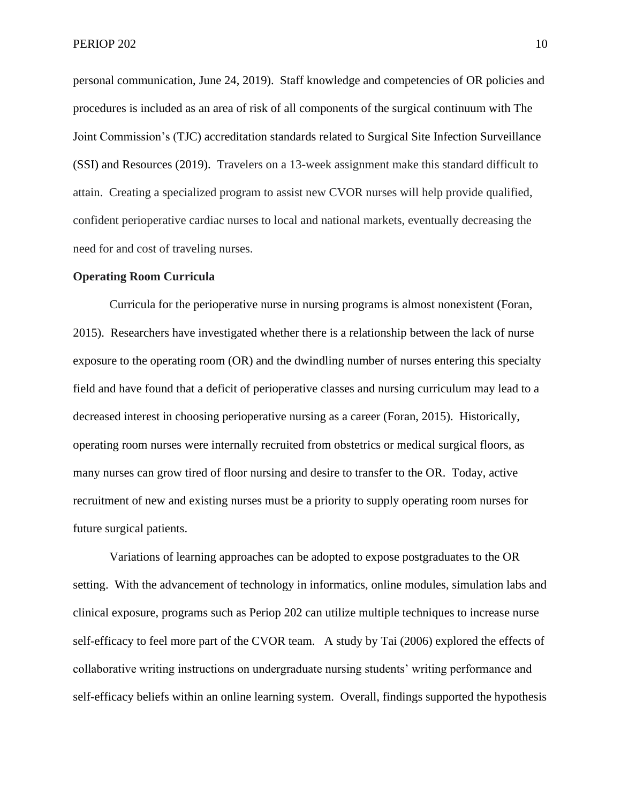personal communication, June 24, 2019). Staff knowledge and competencies of OR policies and procedures is included as an area of risk of all components of the surgical continuum with The Joint Commission's (TJC) accreditation standards related to Surgical Site Infection Surveillance (SSI) and Resources (2019). Travelers on a 13-week assignment make this standard difficult to attain. Creating a specialized program to assist new CVOR nurses will help provide qualified, confident perioperative cardiac nurses to local and national markets, eventually decreasing the need for and cost of traveling nurses.

#### **Operating Room Curricula**

Curricula for the perioperative nurse in nursing programs is almost nonexistent (Foran, 2015). Researchers have investigated whether there is a relationship between the lack of nurse exposure to the operating room (OR) and the dwindling number of nurses entering this specialty field and have found that a deficit of perioperative classes and nursing curriculum may lead to a decreased interest in choosing perioperative nursing as a career (Foran, 2015). Historically, operating room nurses were internally recruited from obstetrics or medical surgical floors, as many nurses can grow tired of floor nursing and desire to transfer to the OR. Today, active recruitment of new and existing nurses must be a priority to supply operating room nurses for future surgical patients.

Variations of learning approaches can be adopted to expose postgraduates to the OR setting. With the advancement of technology in informatics, online modules, simulation labs and clinical exposure, programs such as Periop 202 can utilize multiple techniques to increase nurse self-efficacy to feel more part of the CVOR team. A study by Tai (2006) explored the effects of collaborative writing instructions on undergraduate nursing students' writing performance and self-efficacy beliefs within an online learning system. Overall, findings supported the hypothesis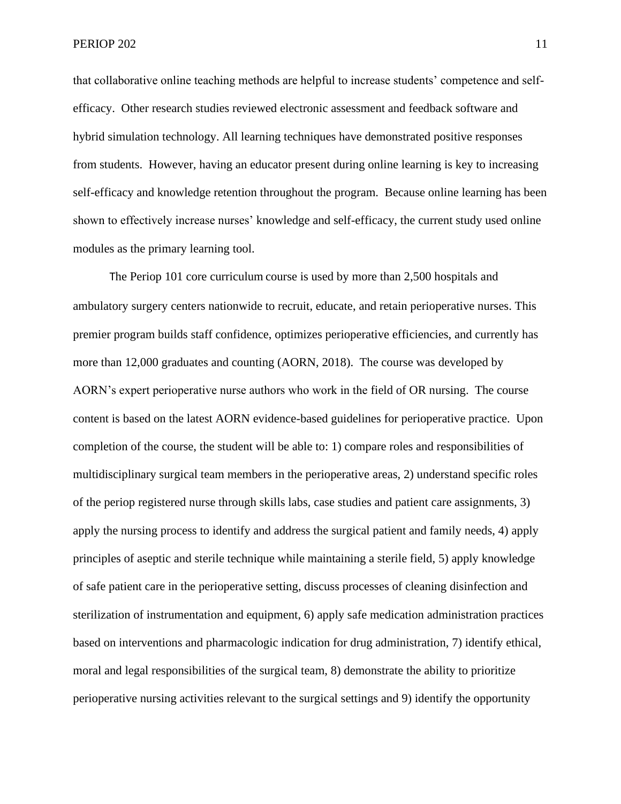that collaborative online teaching methods are helpful to increase students' competence and selfefficacy. Other research studies reviewed electronic assessment and feedback software and hybrid simulation technology. All learning techniques have demonstrated positive responses from students. However, having an educator present during online learning is key to increasing self-efficacy and knowledge retention throughout the program. Because online learning has been shown to effectively increase nurses' knowledge and self-efficacy, the current study used online modules as the primary learning tool.

The Periop 101 core curriculum course is used by more than 2,500 hospitals and ambulatory surgery centers nationwide to recruit, educate, and retain perioperative nurses. This premier program builds staff confidence, optimizes perioperative efficiencies, and currently has more than 12,000 graduates and counting (AORN, 2018). The course was developed by AORN's expert perioperative nurse authors who work in the field of OR nursing. The course content is based on the latest AORN evidence-based guidelines for perioperative practice. Upon completion of the course, the student will be able to: 1) compare roles and responsibilities of multidisciplinary surgical team members in the perioperative areas, 2) understand specific roles of the periop registered nurse through skills labs, case studies and patient care assignments, 3) apply the nursing process to identify and address the surgical patient and family needs, 4) apply principles of aseptic and sterile technique while maintaining a sterile field, 5) apply knowledge of safe patient care in the perioperative setting, discuss processes of cleaning disinfection and sterilization of instrumentation and equipment, 6) apply safe medication administration practices based on interventions and pharmacologic indication for drug administration, 7) identify ethical, moral and legal responsibilities of the surgical team, 8) demonstrate the ability to prioritize perioperative nursing activities relevant to the surgical settings and 9) identify the opportunity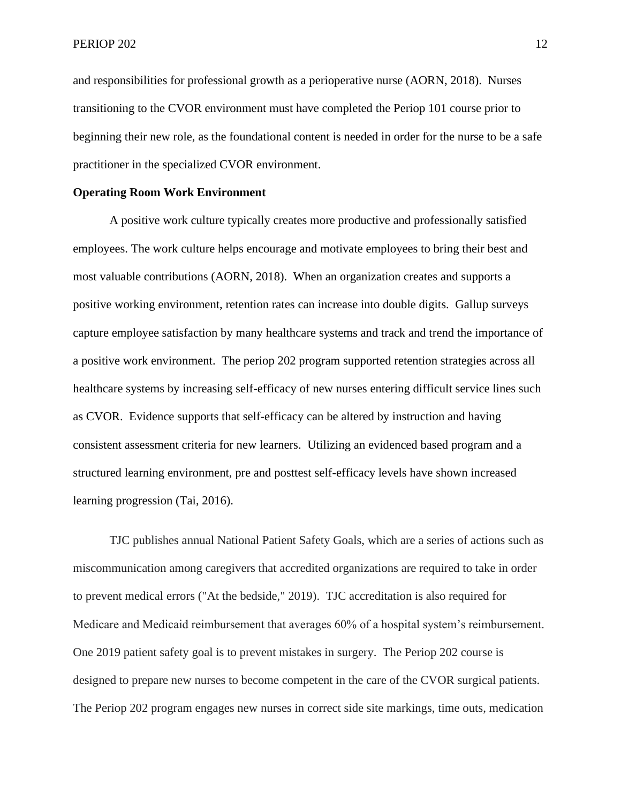and responsibilities for professional growth as a perioperative nurse (AORN, 2018). Nurses transitioning to the CVOR environment must have completed the Periop 101 course prior to beginning their new role, as the foundational content is needed in order for the nurse to be a safe practitioner in the specialized CVOR environment.

#### **Operating Room Work Environment**

A positive work culture typically creates more productive and professionally satisfied employees. The work culture helps encourage and motivate employees to bring their best and most valuable contributions (AORN, 2018). When an organization creates and supports a positive working environment, retention rates can increase into double digits. Gallup surveys capture employee satisfaction by many healthcare systems and track and trend the importance of a positive work environment. The periop 202 program supported retention strategies across all healthcare systems by increasing self-efficacy of new nurses entering difficult service lines such as CVOR. Evidence supports that self-efficacy can be altered by instruction and having consistent assessment criteria for new learners. Utilizing an evidenced based program and a structured learning environment, pre and posttest self-efficacy levels have shown increased learning progression (Tai, 2016).

TJC publishes annual National Patient Safety Goals, which are a series of actions such as miscommunication among caregivers that accredited organizations are required to take in order to prevent medical errors ("At the bedside," 2019). TJC accreditation is also required for Medicare and Medicaid reimbursement that averages 60% of a hospital system's reimbursement. One 2019 patient safety goal is to prevent mistakes in surgery. The Periop 202 course is designed to prepare new nurses to become competent in the care of the CVOR surgical patients. The Periop 202 program engages new nurses in correct side site markings, time outs, medication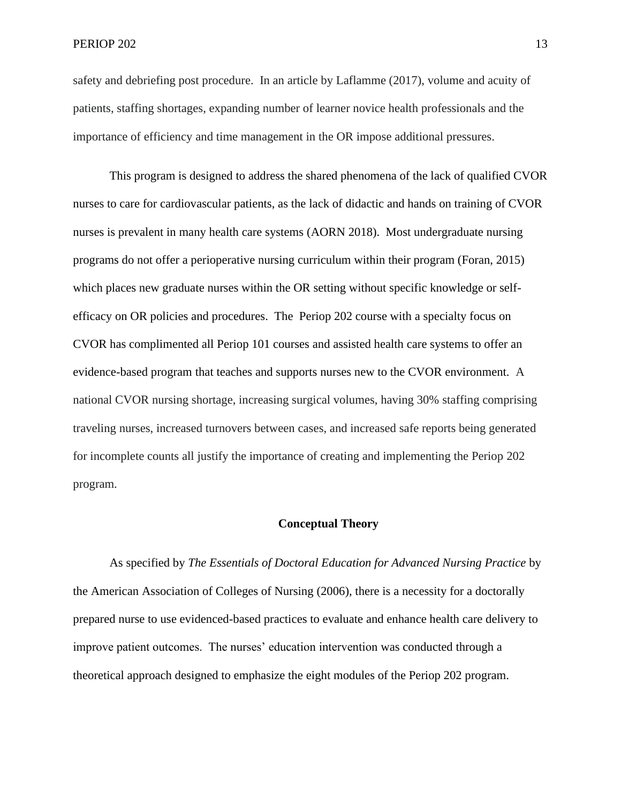safety and debriefing post procedure. In an article by Laflamme (2017), volume and acuity of patients, staffing shortages, expanding number of learner novice health professionals and the importance of efficiency and time management in the OR impose additional pressures.

This program is designed to address the shared phenomena of the lack of qualified CVOR nurses to care for cardiovascular patients, as the lack of didactic and hands on training of CVOR nurses is prevalent in many health care systems (AORN 2018). Most undergraduate nursing programs do not offer a perioperative nursing curriculum within their program (Foran, 2015) which places new graduate nurses within the OR setting without specific knowledge or selfefficacy on OR policies and procedures. The Periop 202 course with a specialty focus on CVOR has complimented all Periop 101 courses and assisted health care systems to offer an evidence-based program that teaches and supports nurses new to the CVOR environment. A national CVOR nursing shortage, increasing surgical volumes, having 30% staffing comprising traveling nurses, increased turnovers between cases, and increased safe reports being generated for incomplete counts all justify the importance of creating and implementing the Periop 202 program.

#### **Conceptual Theory**

As specified by *The Essentials of Doctoral Education for Advanced Nursing Practice* by the American Association of Colleges of Nursing (2006), there is a necessity for a doctorally prepared nurse to use evidenced-based practices to evaluate and enhance health care delivery to improve patient outcomes. The nurses' education intervention was conducted through a theoretical approach designed to emphasize the eight modules of the Periop 202 program.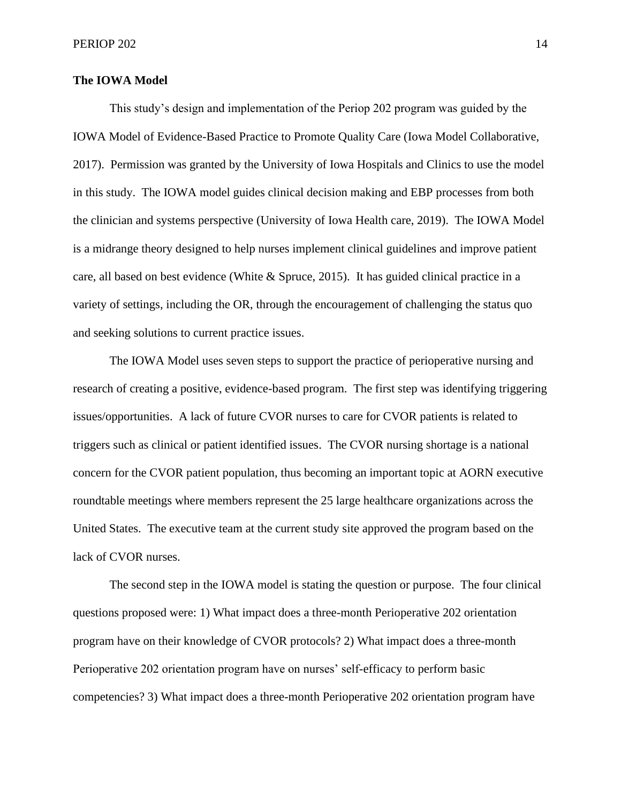#### **The IOWA Model**

This study's design and implementation of the Periop 202 program was guided by the IOWA Model of Evidence-Based Practice to Promote Quality Care (Iowa Model Collaborative, 2017). Permission was granted by the University of Iowa Hospitals and Clinics to use the model in this study. The IOWA model guides clinical decision making and EBP processes from both the clinician and systems perspective (University of Iowa Health care, 2019). The IOWA Model is a midrange theory designed to help nurses implement clinical guidelines and improve patient care, all based on best evidence (White & Spruce, 2015). It has guided clinical practice in a variety of settings, including the OR, through the encouragement of challenging the status quo and seeking solutions to current practice issues.

The IOWA Model uses seven steps to support the practice of perioperative nursing and research of creating a positive, evidence-based program. The first step was identifying triggering issues/opportunities. A lack of future CVOR nurses to care for CVOR patients is related to triggers such as clinical or patient identified issues. The CVOR nursing shortage is a national concern for the CVOR patient population, thus becoming an important topic at AORN executive roundtable meetings where members represent the 25 large healthcare organizations across the United States. The executive team at the current study site approved the program based on the lack of CVOR nurses.

The second step in the IOWA model is stating the question or purpose. The four clinical questions proposed were: 1) What impact does a three-month Perioperative 202 orientation program have on their knowledge of CVOR protocols? 2) What impact does a three-month Perioperative 202 orientation program have on nurses' self-efficacy to perform basic competencies? 3) What impact does a three-month Perioperative 202 orientation program have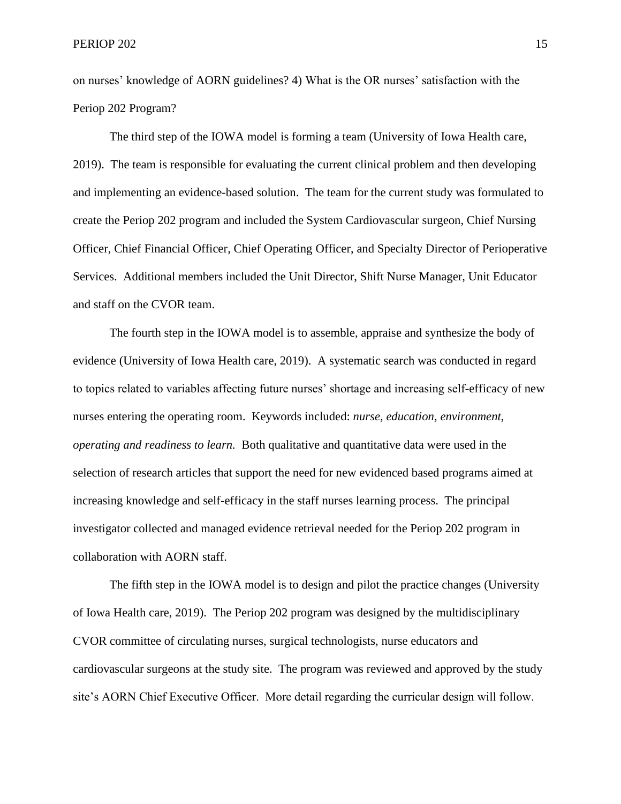on nurses' knowledge of AORN guidelines? 4) What is the OR nurses' satisfaction with the Periop 202 Program?

The third step of the IOWA model is forming a team (University of Iowa Health care, 2019). The team is responsible for evaluating the current clinical problem and then developing and implementing an evidence-based solution. The team for the current study was formulated to create the Periop 202 program and included the System Cardiovascular surgeon, Chief Nursing Officer, Chief Financial Officer, Chief Operating Officer, and Specialty Director of Perioperative Services. Additional members included the Unit Director, Shift Nurse Manager, Unit Educator and staff on the CVOR team.

The fourth step in the IOWA model is to assemble, appraise and synthesize the body of evidence (University of Iowa Health care, 2019). A systematic search was conducted in regard to topics related to variables affecting future nurses' shortage and increasing self-efficacy of new nurses entering the operating room. Keywords included: *nurse, education, environment, operating and readiness to learn.* Both qualitative and quantitative data were used in the selection of research articles that support the need for new evidenced based programs aimed at increasing knowledge and self-efficacy in the staff nurses learning process. The principal investigator collected and managed evidence retrieval needed for the Periop 202 program in collaboration with AORN staff.

The fifth step in the IOWA model is to design and pilot the practice changes (University of Iowa Health care, 2019). The Periop 202 program was designed by the multidisciplinary CVOR committee of circulating nurses, surgical technologists, nurse educators and cardiovascular surgeons at the study site. The program was reviewed and approved by the study site's AORN Chief Executive Officer. More detail regarding the curricular design will follow.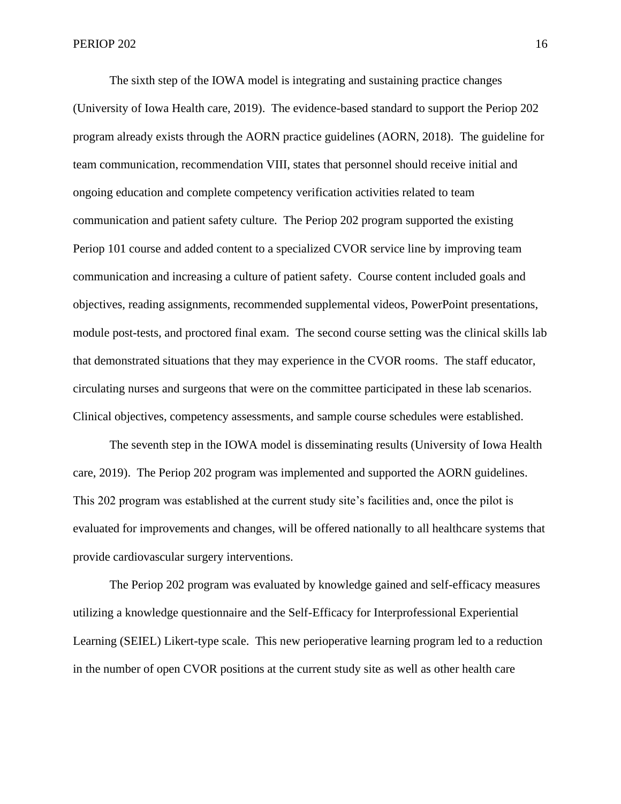The sixth step of the IOWA model is integrating and sustaining practice changes (University of Iowa Health care, 2019). The evidence-based standard to support the Periop 202 program already exists through the AORN practice guidelines (AORN, 2018). The guideline for team communication, recommendation VIII, states that personnel should receive initial and ongoing education and complete competency verification activities related to team communication and patient safety culture. The Periop 202 program supported the existing Periop 101 course and added content to a specialized CVOR service line by improving team communication and increasing a culture of patient safety. Course content included goals and objectives, reading assignments, recommended supplemental videos, PowerPoint presentations, module post-tests, and proctored final exam. The second course setting was the clinical skills lab that demonstrated situations that they may experience in the CVOR rooms. The staff educator, circulating nurses and surgeons that were on the committee participated in these lab scenarios. Clinical objectives, competency assessments, and sample course schedules were established.

The seventh step in the IOWA model is disseminating results (University of Iowa Health care, 2019). The Periop 202 program was implemented and supported the AORN guidelines. This 202 program was established at the current study site's facilities and, once the pilot is evaluated for improvements and changes, will be offered nationally to all healthcare systems that provide cardiovascular surgery interventions.

The Periop 202 program was evaluated by knowledge gained and self-efficacy measures utilizing a knowledge questionnaire and the Self-Efficacy for Interprofessional Experiential Learning (SEIEL) Likert-type scale. This new perioperative learning program led to a reduction in the number of open CVOR positions at the current study site as well as other health care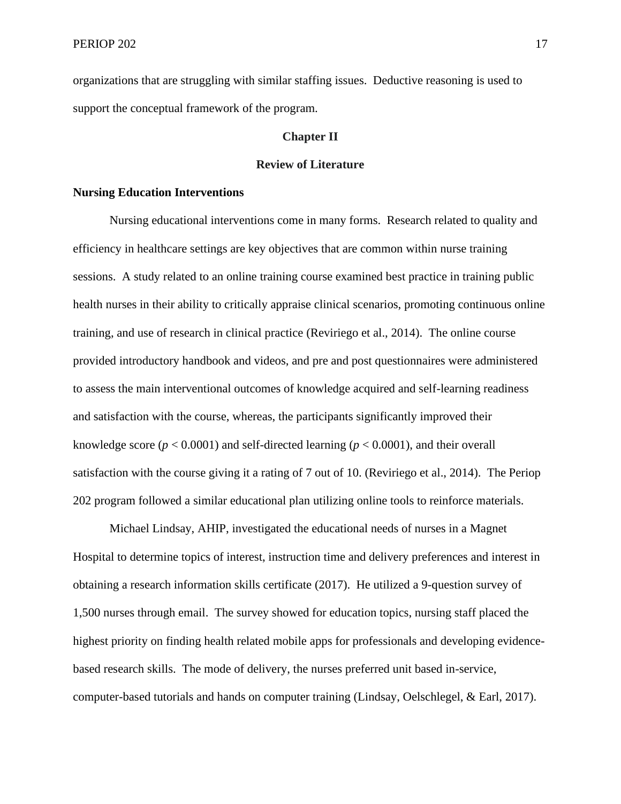organizations that are struggling with similar staffing issues. Deductive reasoning is used to support the conceptual framework of the program.

#### **Chapter II**

#### **Review of Literature**

#### **Nursing Education Interventions**

Nursing educational interventions come in many forms. Research related to quality and efficiency in healthcare settings are key objectives that are common within nurse training sessions. A study related to an online training course examined best practice in training public health nurses in their ability to critically appraise clinical scenarios, promoting continuous online training, and use of research in clinical practice (Reviriego et al., 2014). The online course provided introductory handbook and videos, and pre and post questionnaires were administered to assess the main interventional outcomes of knowledge acquired and self-learning readiness and satisfaction with the course, whereas, the participants significantly improved their knowledge score  $(p < 0.0001)$  and self-directed learning  $(p < 0.0001)$ , and their overall satisfaction with the course giving it a rating of 7 out of 10. (Reviriego et al., 2014). The Periop 202 program followed a similar educational plan utilizing online tools to reinforce materials.

Michael Lindsay, AHIP, investigated the educational needs of nurses in a Magnet Hospital to determine topics of interest, instruction time and delivery preferences and interest in obtaining a research information skills certificate (2017). He utilized a 9-question survey of 1,500 nurses through email. The survey showed for education topics, nursing staff placed the highest priority on finding health related mobile apps for professionals and developing evidencebased research skills. The mode of delivery, the nurses preferred unit based in-service, computer-based tutorials and hands on computer training (Lindsay, Oelschlegel, & Earl, 2017).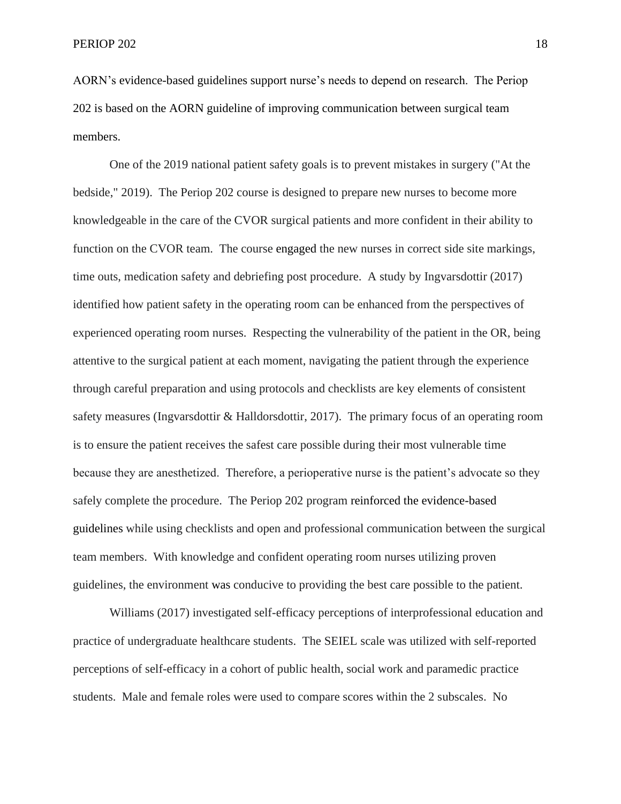AORN's evidence-based guidelines support nurse's needs to depend on research. The Periop 202 is based on the AORN guideline of improving communication between surgical team members.

One of the 2019 national patient safety goals is to prevent mistakes in surgery ("At the bedside," 2019). The Periop 202 course is designed to prepare new nurses to become more knowledgeable in the care of the CVOR surgical patients and more confident in their ability to function on the CVOR team. The course engaged the new nurses in correct side site markings, time outs, medication safety and debriefing post procedure. A study by Ingvarsdottir (2017) identified how patient safety in the operating room can be enhanced from the perspectives of experienced operating room nurses. Respecting the vulnerability of the patient in the OR, being attentive to the surgical patient at each moment, navigating the patient through the experience through careful preparation and using protocols and checklists are key elements of consistent safety measures (Ingvarsdottir & Halldorsdottir, 2017). The primary focus of an operating room is to ensure the patient receives the safest care possible during their most vulnerable time because they are anesthetized. Therefore, a perioperative nurse is the patient's advocate so they safely complete the procedure. The Periop 202 program reinforced the evidence-based guidelines while using checklists and open and professional communication between the surgical team members. With knowledge and confident operating room nurses utilizing proven guidelines, the environment was conducive to providing the best care possible to the patient.

Williams (2017) investigated self-efficacy perceptions of interprofessional education and practice of undergraduate healthcare students. The SEIEL scale was utilized with self-reported perceptions of self-efficacy in a cohort of public health, social work and paramedic practice students. Male and female roles were used to compare scores within the 2 subscales. No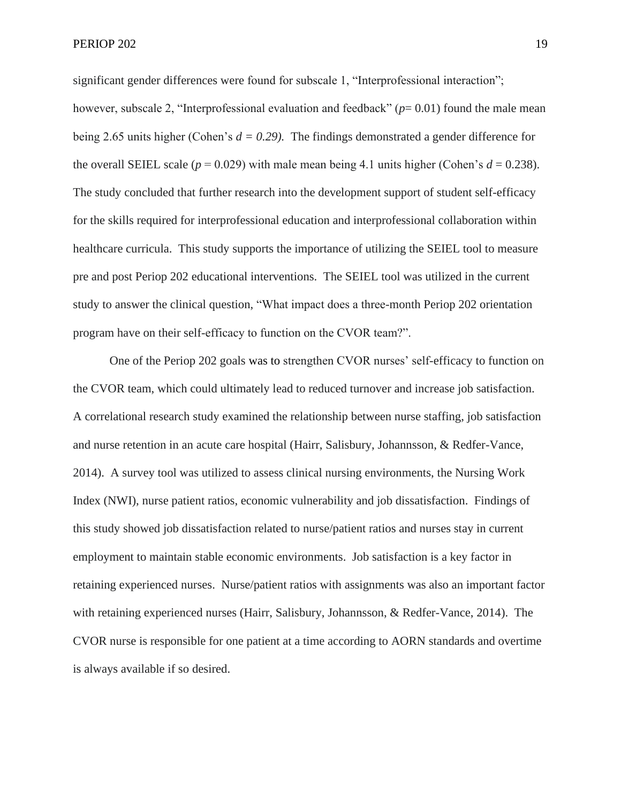significant gender differences were found for subscale 1, "Interprofessional interaction"; however, subscale 2, "Interprofessional evaluation and feedback" (*p*= 0.01) found the male mean being 2.65 units higher (Cohen's  $d = 0.29$ ). The findings demonstrated a gender difference for the overall SEIEL scale ( $p = 0.029$ ) with male mean being 4.1 units higher (Cohen's  $d = 0.238$ ). The study concluded that further research into the development support of student self-efficacy for the skills required for interprofessional education and interprofessional collaboration within healthcare curricula. This study supports the importance of utilizing the SEIEL tool to measure pre and post Periop 202 educational interventions. The SEIEL tool was utilized in the current study to answer the clinical question, "What impact does a three-month Periop 202 orientation program have on their self-efficacy to function on the CVOR team?".

One of the Periop 202 goals was to strengthen CVOR nurses' self-efficacy to function on the CVOR team, which could ultimately lead to reduced turnover and increase job satisfaction. A correlational research study examined the relationship between nurse staffing, job satisfaction and nurse retention in an acute care hospital (Hairr, Salisbury, Johannsson, & Redfer-Vance, 2014). A survey tool was utilized to assess clinical nursing environments, the Nursing Work Index (NWI), nurse patient ratios, economic vulnerability and job dissatisfaction. Findings of this study showed job dissatisfaction related to nurse/patient ratios and nurses stay in current employment to maintain stable economic environments. Job satisfaction is a key factor in retaining experienced nurses. Nurse/patient ratios with assignments was also an important factor with retaining experienced nurses (Hairr, Salisbury, Johannsson, & Redfer-Vance, 2014). The CVOR nurse is responsible for one patient at a time according to AORN standards and overtime is always available if so desired.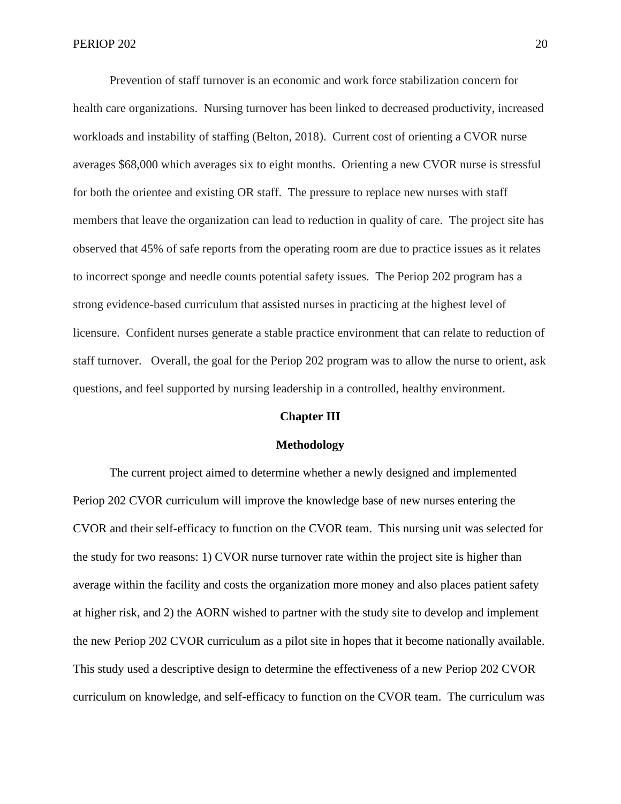Prevention of staff turnover is an economic and work force stabilization concern for health care organizations. Nursing turnover has been linked to decreased productivity, increased workloads and instability of staffing (Belton, 2018). Current cost of orienting a CVOR nurse averages \$68,000 which averages six to eight months. Orienting a new CVOR nurse is stressful for both the orientee and existing OR staff. The pressure to replace new nurses with staff members that leave the organization can lead to reduction in quality of care. The project site has observed that 45% of safe reports from the operating room are due to practice issues as it relates to incorrect sponge and needle counts potential safety issues. The Periop 202 program has a strong evidence-based curriculum that assisted nurses in practicing at the highest level of licensure. Confident nurses generate a stable practice environment that can relate to reduction of staff turnover. Overall, the goal for the Periop 202 program was to allow the nurse to orient, ask questions, and feel supported by nursing leadership in a controlled, healthy environment.

#### **Chapter III**

#### **Methodology**

The current project aimed to determine whether a newly designed and implemented Periop 202 CVOR curriculum will improve the knowledge base of new nurses entering the CVOR and their self-efficacy to function on the CVOR team. This nursing unit was selected for the study for two reasons: 1) CVOR nurse turnover rate within the project site is higher than average within the facility and costs the organization more money and also places patient safety at higher risk, and 2) the AORN wished to partner with the study site to develop and implement the new Periop 202 CVOR curriculum as a pilot site in hopes that it become nationally available. This study used a descriptive design to determine the effectiveness of a new Periop 202 CVOR curriculum on knowledge, and self-efficacy to function on the CVOR team. The curriculum was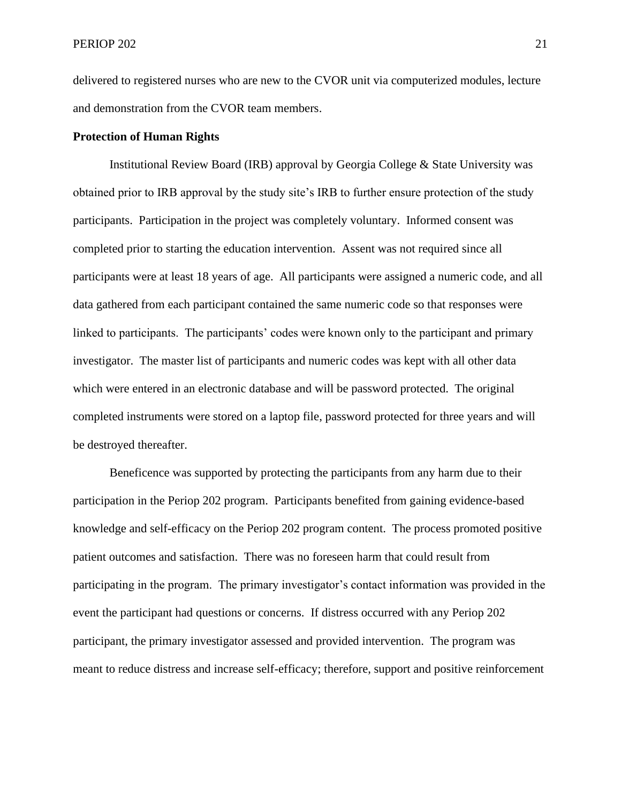delivered to registered nurses who are new to the CVOR unit via computerized modules, lecture and demonstration from the CVOR team members.

#### **Protection of Human Rights**

Institutional Review Board (IRB) approval by Georgia College & State University was obtained prior to IRB approval by the study site's IRB to further ensure protection of the study participants. Participation in the project was completely voluntary. Informed consent was completed prior to starting the education intervention. Assent was not required since all participants were at least 18 years of age. All participants were assigned a numeric code, and all data gathered from each participant contained the same numeric code so that responses were linked to participants. The participants' codes were known only to the participant and primary investigator. The master list of participants and numeric codes was kept with all other data which were entered in an electronic database and will be password protected. The original completed instruments were stored on a laptop file, password protected for three years and will be destroyed thereafter.

Beneficence was supported by protecting the participants from any harm due to their participation in the Periop 202 program. Participants benefited from gaining evidence-based knowledge and self-efficacy on the Periop 202 program content. The process promoted positive patient outcomes and satisfaction. There was no foreseen harm that could result from participating in the program. The primary investigator's contact information was provided in the event the participant had questions or concerns. If distress occurred with any Periop 202 participant, the primary investigator assessed and provided intervention. The program was meant to reduce distress and increase self-efficacy; therefore, support and positive reinforcement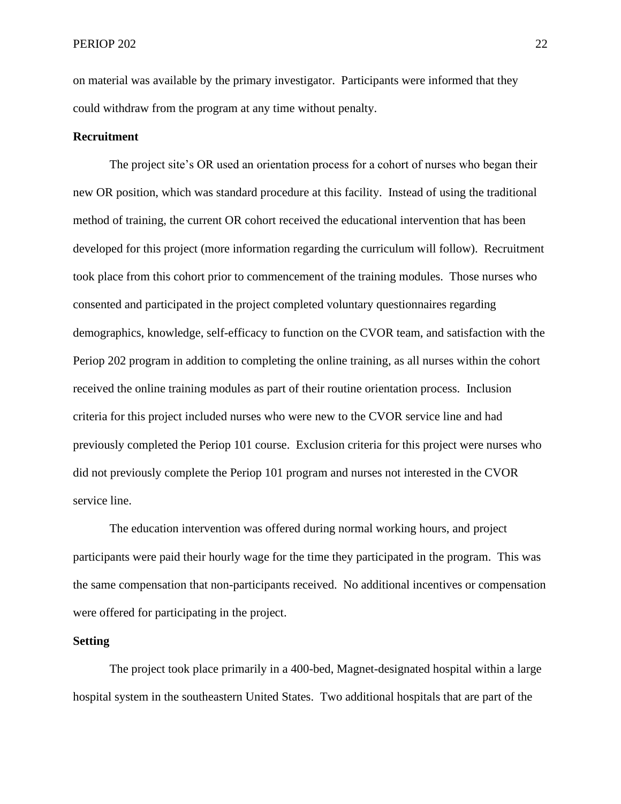on material was available by the primary investigator. Participants were informed that they could withdraw from the program at any time without penalty.

#### **Recruitment**

The project site's OR used an orientation process for a cohort of nurses who began their new OR position, which was standard procedure at this facility. Instead of using the traditional method of training, the current OR cohort received the educational intervention that has been developed for this project (more information regarding the curriculum will follow). Recruitment took place from this cohort prior to commencement of the training modules. Those nurses who consented and participated in the project completed voluntary questionnaires regarding demographics, knowledge, self-efficacy to function on the CVOR team, and satisfaction with the Periop 202 program in addition to completing the online training, as all nurses within the cohort received the online training modules as part of their routine orientation process. Inclusion criteria for this project included nurses who were new to the CVOR service line and had previously completed the Periop 101 course. Exclusion criteria for this project were nurses who did not previously complete the Periop 101 program and nurses not interested in the CVOR service line.

The education intervention was offered during normal working hours, and project participants were paid their hourly wage for the time they participated in the program. This was the same compensation that non-participants received. No additional incentives or compensation were offered for participating in the project.

#### **Setting**

The project took place primarily in a 400-bed, Magnet-designated hospital within a large hospital system in the southeastern United States. Two additional hospitals that are part of the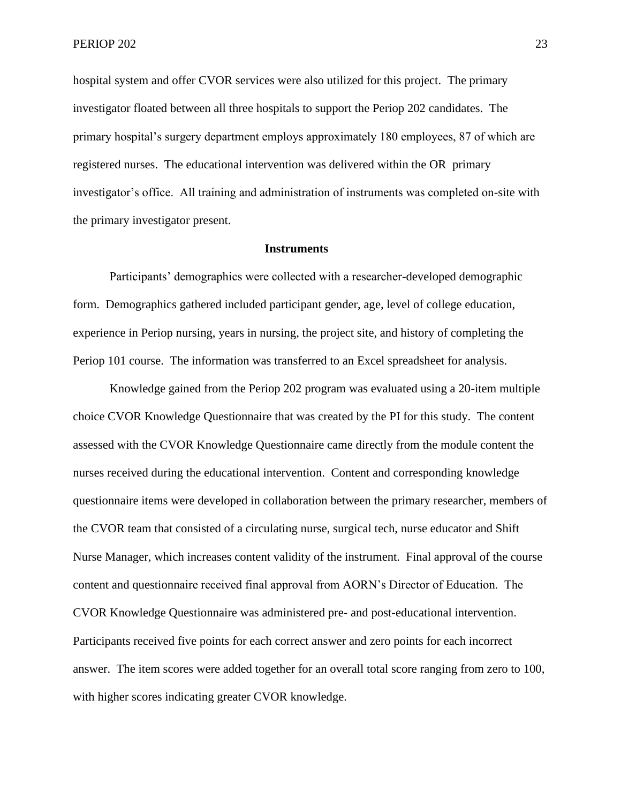hospital system and offer CVOR services were also utilized for this project. The primary investigator floated between all three hospitals to support the Periop 202 candidates. The primary hospital's surgery department employs approximately 180 employees, 87 of which are registered nurses. The educational intervention was delivered within the OR primary investigator's office. All training and administration of instruments was completed on-site with the primary investigator present.

#### **Instruments**

Participants' demographics were collected with a researcher-developed demographic form. Demographics gathered included participant gender, age, level of college education, experience in Periop nursing, years in nursing, the project site, and history of completing the Periop 101 course. The information was transferred to an Excel spreadsheet for analysis.

Knowledge gained from the Periop 202 program was evaluated using a 20-item multiple choice CVOR Knowledge Questionnaire that was created by the PI for this study. The content assessed with the CVOR Knowledge Questionnaire came directly from the module content the nurses received during the educational intervention. Content and corresponding knowledge questionnaire items were developed in collaboration between the primary researcher, members of the CVOR team that consisted of a circulating nurse, surgical tech, nurse educator and Shift Nurse Manager, which increases content validity of the instrument. Final approval of the course content and questionnaire received final approval from AORN's Director of Education. The CVOR Knowledge Questionnaire was administered pre- and post-educational intervention. Participants received five points for each correct answer and zero points for each incorrect answer. The item scores were added together for an overall total score ranging from zero to 100, with higher scores indicating greater CVOR knowledge.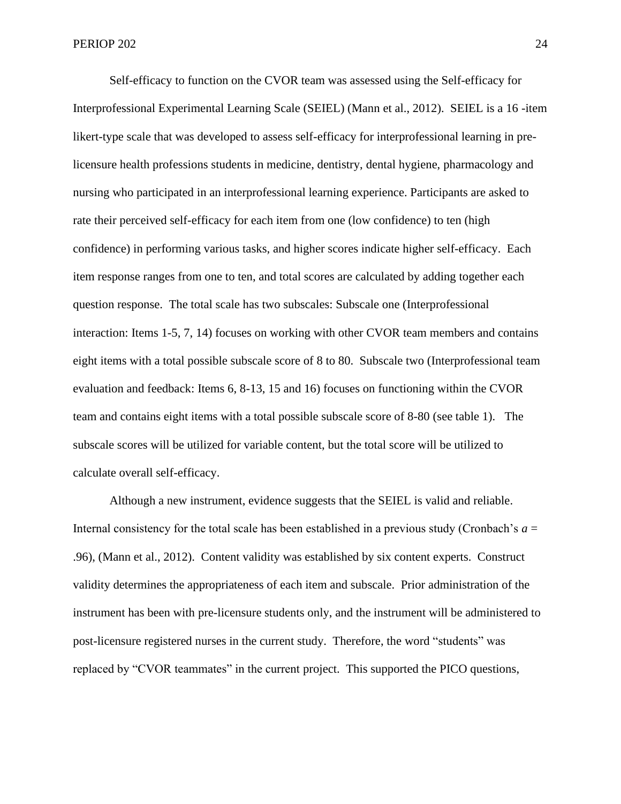Self-efficacy to function on the CVOR team was assessed using the Self-efficacy for Interprofessional Experimental Learning Scale (SEIEL) (Mann et al., 2012). SEIEL is a 16 -item likert-type scale that was developed to assess self-efficacy for interprofessional learning in prelicensure health professions students in medicine, dentistry, dental hygiene, pharmacology and nursing who participated in an interprofessional learning experience. Participants are asked to rate their perceived self-efficacy for each item from one (low confidence) to ten (high confidence) in performing various tasks, and higher scores indicate higher self-efficacy. Each item response ranges from one to ten, and total scores are calculated by adding together each question response. The total scale has two subscales: Subscale one (Interprofessional interaction: Items 1-5, 7, 14) focuses on working with other CVOR team members and contains eight items with a total possible subscale score of 8 to 80. Subscale two (Interprofessional team evaluation and feedback: Items 6, 8-13, 15 and 16) focuses on functioning within the CVOR team and contains eight items with a total possible subscale score of 8-80 (see table 1). The subscale scores will be utilized for variable content, but the total score will be utilized to calculate overall self-efficacy.

Although a new instrument, evidence suggests that the SEIEL is valid and reliable. Internal consistency for the total scale has been established in a previous study (Cronbach's *a* = .96), (Mann et al., 2012). Content validity was established by six content experts. Construct validity determines the appropriateness of each item and subscale. Prior administration of the instrument has been with pre-licensure students only, and the instrument will be administered to post-licensure registered nurses in the current study. Therefore, the word "students" was replaced by "CVOR teammates" in the current project. This supported the PICO questions,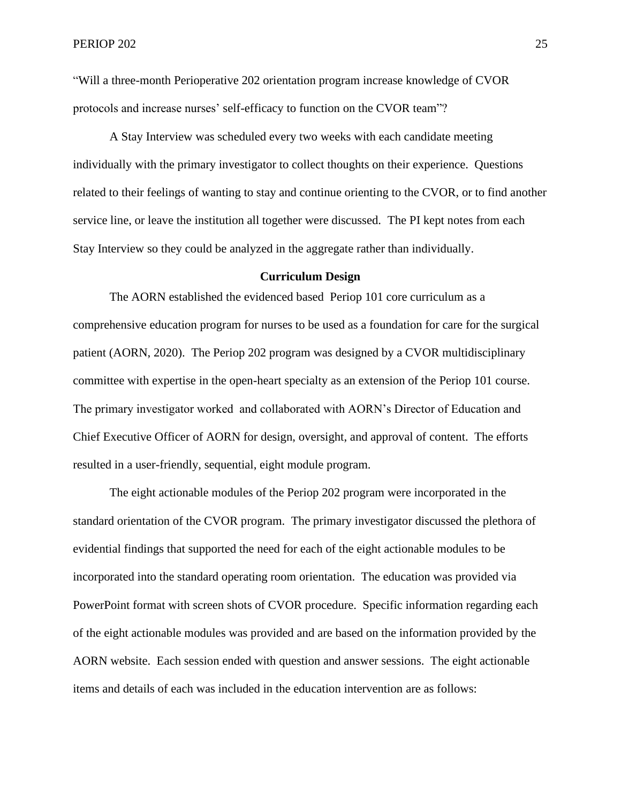"Will a three-month Perioperative 202 orientation program increase knowledge of CVOR protocols and increase nurses' self-efficacy to function on the CVOR team"?

A Stay Interview was scheduled every two weeks with each candidate meeting individually with the primary investigator to collect thoughts on their experience. Questions related to their feelings of wanting to stay and continue orienting to the CVOR, or to find another service line, or leave the institution all together were discussed. The PI kept notes from each Stay Interview so they could be analyzed in the aggregate rather than individually.

#### **Curriculum Design**

The AORN established the evidenced based Periop 101 core curriculum as a comprehensive education program for nurses to be used as a foundation for care for the surgical patient (AORN, 2020). The Periop 202 program was designed by a CVOR multidisciplinary committee with expertise in the open-heart specialty as an extension of the Periop 101 course. The primary investigator worked and collaborated with AORN's Director of Education and Chief Executive Officer of AORN for design, oversight, and approval of content. The efforts resulted in a user-friendly, sequential, eight module program.

The eight actionable modules of the Periop 202 program were incorporated in the standard orientation of the CVOR program. The primary investigator discussed the plethora of evidential findings that supported the need for each of the eight actionable modules to be incorporated into the standard operating room orientation. The education was provided via PowerPoint format with screen shots of CVOR procedure. Specific information regarding each of the eight actionable modules was provided and are based on the information provided by the AORN website. Each session ended with question and answer sessions. The eight actionable items and details of each was included in the education intervention are as follows: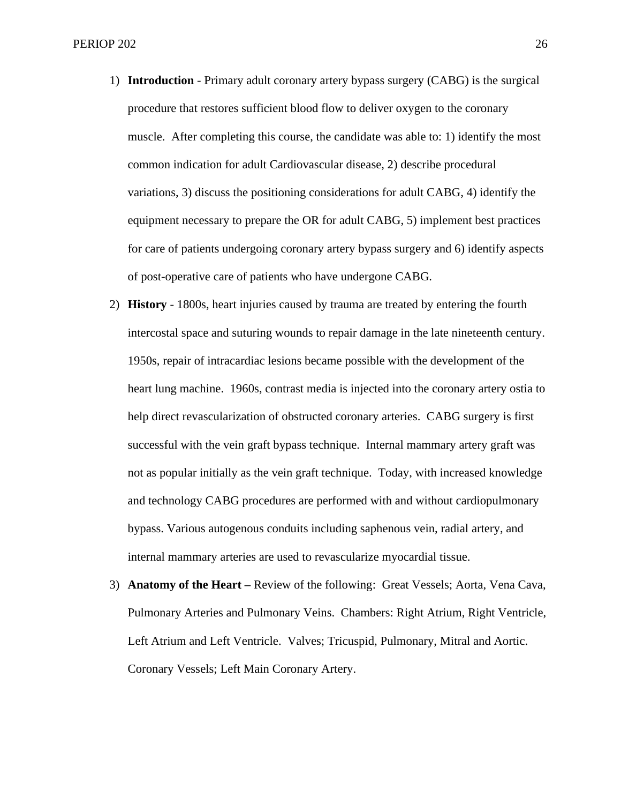- 1) **Introduction** Primary adult coronary artery bypass surgery (CABG) is the surgical procedure that restores sufficient blood flow to deliver oxygen to the coronary muscle. After completing this course, the candidate was able to: 1) identify the most common indication for adult Cardiovascular disease, 2) describe procedural variations, 3) discuss the positioning considerations for adult CABG, 4) identify the equipment necessary to prepare the OR for adult CABG, 5) implement best practices for care of patients undergoing coronary artery bypass surgery and 6) identify aspects of post-operative care of patients who have undergone CABG.
- 2) **History**  1800s, heart injuries caused by trauma are treated by entering the fourth intercostal space and suturing wounds to repair damage in the late nineteenth century. 1950s, repair of intracardiac lesions became possible with the development of the heart lung machine. 1960s, contrast media is injected into the coronary artery ostia to help direct revascularization of obstructed coronary arteries. CABG surgery is first successful with the vein graft bypass technique. Internal mammary artery graft was not as popular initially as the vein graft technique. Today, with increased knowledge and technology CABG procedures are performed with and without cardiopulmonary bypass. Various autogenous conduits including saphenous vein, radial artery, and internal mammary arteries are used to revascularize myocardial tissue.
- 3) **Anatomy of the Heart –** Review of the following:Great Vessels; Aorta, Vena Cava, Pulmonary Arteries and Pulmonary Veins. Chambers: Right Atrium, Right Ventricle, Left Atrium and Left Ventricle. Valves; Tricuspid, Pulmonary, Mitral and Aortic. Coronary Vessels; Left Main Coronary Artery.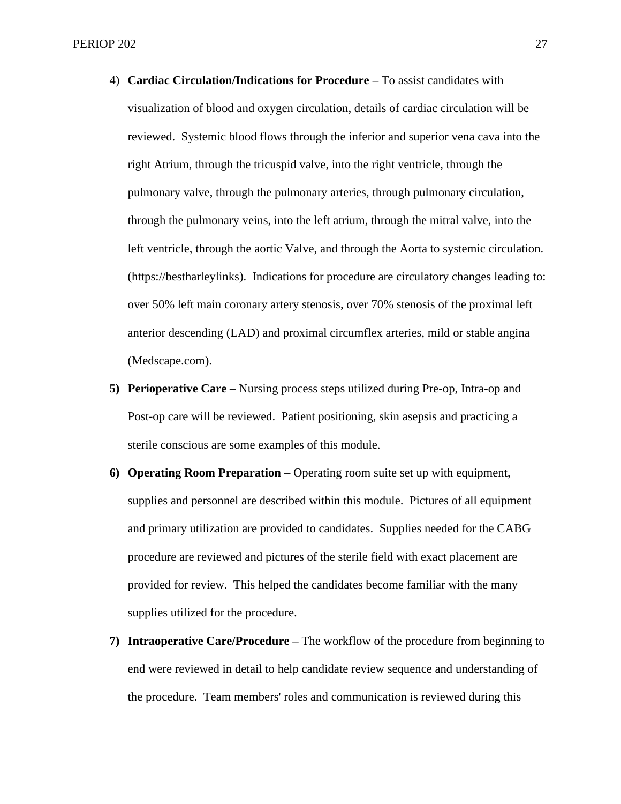- 4) **Cardiac Circulation/Indications for Procedure –** To assist candidates with visualization of blood and oxygen circulation, details of cardiac circulation will be reviewed.Systemic blood flows through the inferior and superior vena cava into the right Atrium, through the tricuspid valve, into the right ventricle, through the pulmonary valve, through the pulmonary arteries, through pulmonary circulation, through the pulmonary veins, into the left atrium, through the mitral valve, into the left ventricle, through the aortic Valve, and through the Aorta to systemic circulation. (https://bestharleylinks). Indications for procedure are circulatory changes leading to: over 50% left main coronary artery stenosis, over 70% stenosis of the proximal left anterior descending (LAD) and proximal circumflex arteries, mild or stable angina (Medscape.com).
- **5) Perioperative Care –** Nursing process steps utilized during Pre-op, Intra-op and Post-op care will be reviewed. Patient positioning, skin asepsis and practicing a sterile conscious are some examples of this module.
- **6) Operating Room Preparation –** Operating room suite set up with equipment, supplies and personnel are described within this module. Pictures of all equipment and primary utilization are provided to candidates. Supplies needed for the CABG procedure are reviewed and pictures of the sterile field with exact placement are provided for review. This helped the candidates become familiar with the many supplies utilized for the procedure.
- **7) Intraoperative Care/Procedure –** The workflow of the procedure from beginning to end were reviewed in detail to help candidate review sequence and understanding of the procedure. Team members' roles and communication is reviewed during this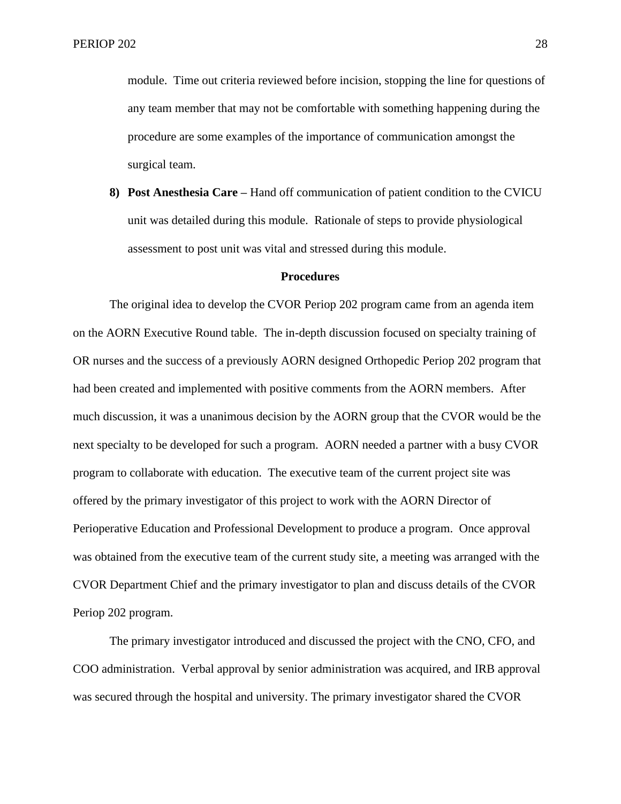module. Time out criteria reviewed before incision, stopping the line for questions of any team member that may not be comfortable with something happening during the procedure are some examples of the importance of communication amongst the surgical team.

**8) Post Anesthesia Care –** Hand off communication of patient condition to the CVICU unit was detailed during this module. Rationale of steps to provide physiological assessment to post unit was vital and stressed during this module.

#### **Procedures**

The original idea to develop the CVOR Periop 202 program came from an agenda item on the AORN Executive Round table. The in-depth discussion focused on specialty training of OR nurses and the success of a previously AORN designed Orthopedic Periop 202 program that had been created and implemented with positive comments from the AORN members. After much discussion, it was a unanimous decision by the AORN group that the CVOR would be the next specialty to be developed for such a program. AORN needed a partner with a busy CVOR program to collaborate with education. The executive team of the current project site was offered by the primary investigator of this project to work with the AORN Director of Perioperative Education and Professional Development to produce a program. Once approval was obtained from the executive team of the current study site, a meeting was arranged with the CVOR Department Chief and the primary investigator to plan and discuss details of the CVOR Periop 202 program.

The primary investigator introduced and discussed the project with the CNO, CFO, and COO administration. Verbal approval by senior administration was acquired, and IRB approval was secured through the hospital and university. The primary investigator shared the CVOR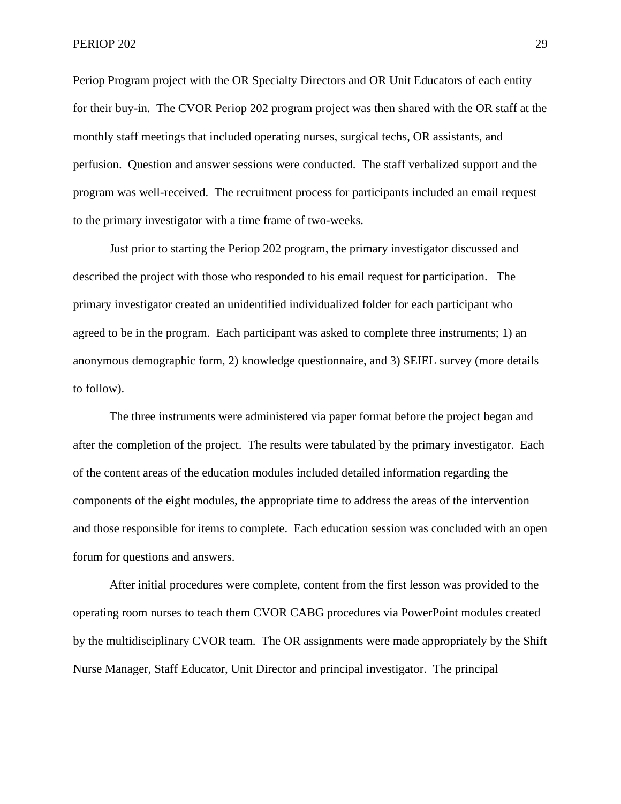Periop Program project with the OR Specialty Directors and OR Unit Educators of each entity for their buy-in. The CVOR Periop 202 program project was then shared with the OR staff at the monthly staff meetings that included operating nurses, surgical techs, OR assistants, and perfusion. Question and answer sessions were conducted. The staff verbalized support and the program was well-received. The recruitment process for participants included an email request to the primary investigator with a time frame of two-weeks.

Just prior to starting the Periop 202 program, the primary investigator discussed and described the project with those who responded to his email request for participation. The primary investigator created an unidentified individualized folder for each participant who agreed to be in the program. Each participant was asked to complete three instruments; 1) an anonymous demographic form, 2) knowledge questionnaire, and 3) SEIEL survey (more details to follow).

The three instruments were administered via paper format before the project began and after the completion of the project. The results were tabulated by the primary investigator. Each of the content areas of the education modules included detailed information regarding the components of the eight modules, the appropriate time to address the areas of the intervention and those responsible for items to complete. Each education session was concluded with an open forum for questions and answers.

After initial procedures were complete, content from the first lesson was provided to the operating room nurses to teach them CVOR CABG procedures via PowerPoint modules created by the multidisciplinary CVOR team. The OR assignments were made appropriately by the Shift Nurse Manager, Staff Educator, Unit Director and principal investigator. The principal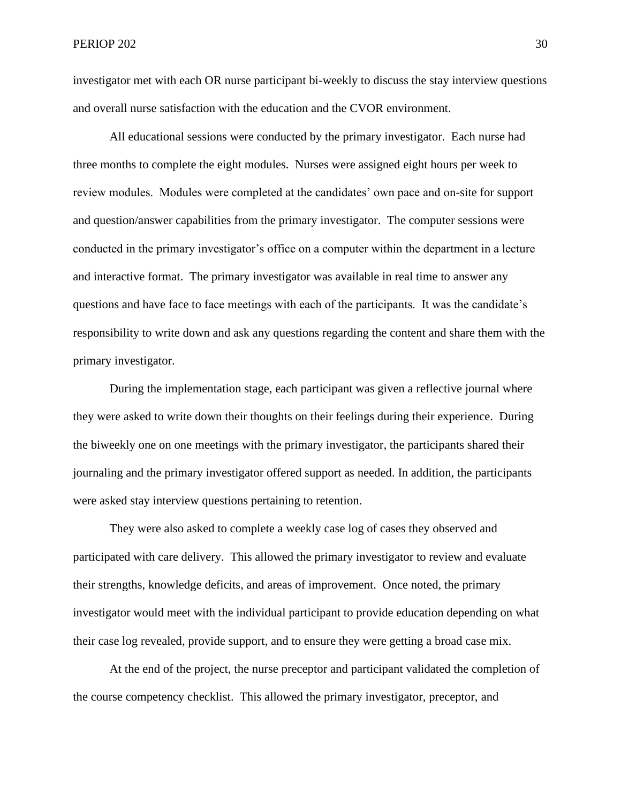investigator met with each OR nurse participant bi-weekly to discuss the stay interview questions and overall nurse satisfaction with the education and the CVOR environment.

All educational sessions were conducted by the primary investigator. Each nurse had three months to complete the eight modules. Nurses were assigned eight hours per week to review modules. Modules were completed at the candidates' own pace and on-site for support and question/answer capabilities from the primary investigator. The computer sessions were conducted in the primary investigator's office on a computer within the department in a lecture and interactive format. The primary investigator was available in real time to answer any questions and have face to face meetings with each of the participants. It was the candidate's responsibility to write down and ask any questions regarding the content and share them with the primary investigator.

 During the implementation stage, each participant was given a reflective journal where they were asked to write down their thoughts on their feelings during their experience. During the biweekly one on one meetings with the primary investigator, the participants shared their journaling and the primary investigator offered support as needed. In addition, the participants were asked stay interview questions pertaining to retention.

 They were also asked to complete a weekly case log of cases they observed and participated with care delivery. This allowed the primary investigator to review and evaluate their strengths, knowledge deficits, and areas of improvement. Once noted, the primary investigator would meet with the individual participant to provide education depending on what their case log revealed, provide support, and to ensure they were getting a broad case mix.

 At the end of the project, the nurse preceptor and participant validated the completion of the course competency checklist. This allowed the primary investigator, preceptor, and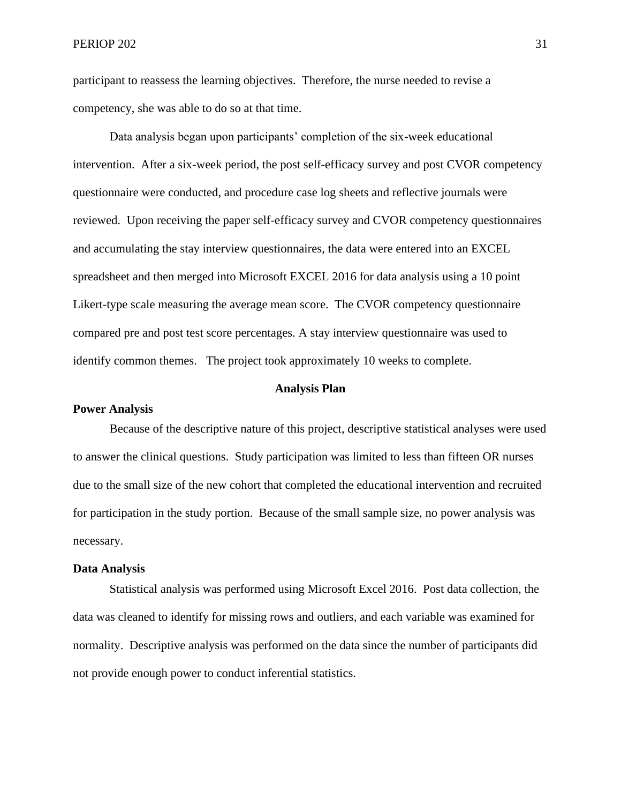participant to reassess the learning objectives. Therefore, the nurse needed to revise a competency, she was able to do so at that time.

Data analysis began upon participants' completion of the six-week educational intervention. After a six-week period, the post self-efficacy survey and post CVOR competency questionnaire were conducted, and procedure case log sheets and reflective journals were reviewed. Upon receiving the paper self-efficacy survey and CVOR competency questionnaires and accumulating the stay interview questionnaires, the data were entered into an EXCEL spreadsheet and then merged into Microsoft EXCEL 2016 for data analysis using a 10 point Likert-type scale measuring the average mean score. The CVOR competency questionnaire compared pre and post test score percentages. A stay interview questionnaire was used to identify common themes. The project took approximately 10 weeks to complete.

#### **Analysis Plan**

#### **Power Analysis**

Because of the descriptive nature of this project, descriptive statistical analyses were used to answer the clinical questions. Study participation was limited to less than fifteen OR nurses due to the small size of the new cohort that completed the educational intervention and recruited for participation in the study portion. Because of the small sample size, no power analysis was necessary.

### **Data Analysis**

Statistical analysis was performed using Microsoft Excel 2016. Post data collection, the data was cleaned to identify for missing rows and outliers, and each variable was examined for normality. Descriptive analysis was performed on the data since the number of participants did not provide enough power to conduct inferential statistics.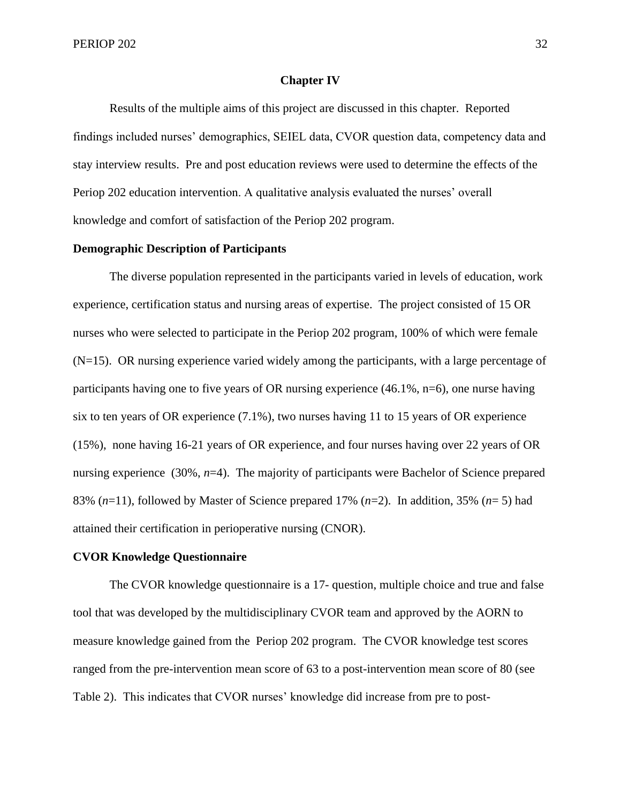#### **Chapter IV**

Results of the multiple aims of this project are discussed in this chapter. Reported findings included nurses' demographics, SEIEL data, CVOR question data, competency data and stay interview results. Pre and post education reviews were used to determine the effects of the Periop 202 education intervention. A qualitative analysis evaluated the nurses' overall knowledge and comfort of satisfaction of the Periop 202 program.

#### **Demographic Description of Participants**

The diverse population represented in the participants varied in levels of education, work experience, certification status and nursing areas of expertise. The project consisted of 15 OR nurses who were selected to participate in the Periop 202 program, 100% of which were female  $(N=15)$ . OR nursing experience varied widely among the participants, with a large percentage of participants having one to five years of OR nursing experience (46.1%, n=6), one nurse having six to ten years of OR experience (7.1%), two nurses having 11 to 15 years of OR experience (15%), none having 16-21 years of OR experience, and four nurses having over 22 years of OR nursing experience (30%, *n*=4). The majority of participants were Bachelor of Science prepared 83%  $(n=11)$ , followed by Master of Science prepared 17%  $(n=2)$ . In addition, 35%  $(n=5)$  had attained their certification in perioperative nursing (CNOR).

#### **CVOR Knowledge Questionnaire**

The CVOR knowledge questionnaire is a 17- question, multiple choice and true and false tool that was developed by the multidisciplinary CVOR team and approved by the AORN to measure knowledge gained from the Periop 202 program. The CVOR knowledge test scores ranged from the pre-intervention mean score of 63 to a post-intervention mean score of 80 (see Table 2). This indicates that CVOR nurses' knowledge did increase from pre to post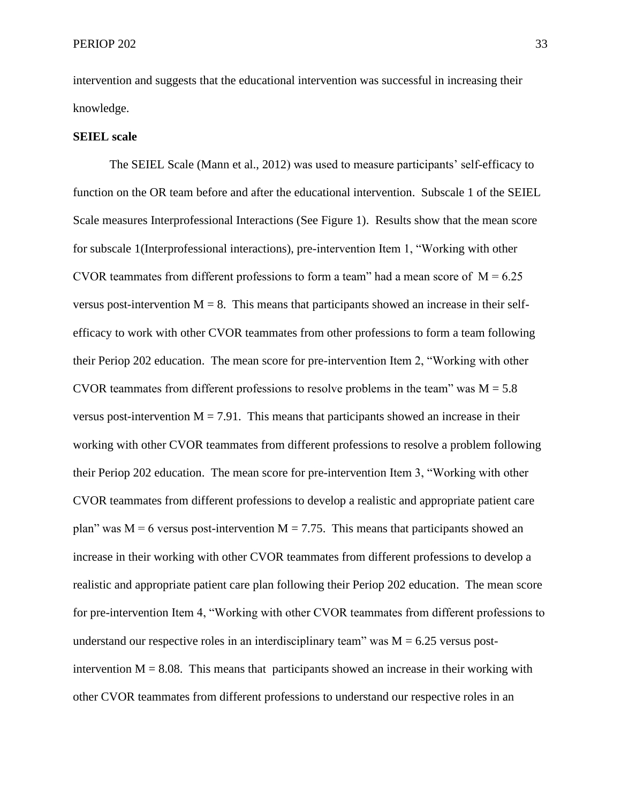intervention and suggests that the educational intervention was successful in increasing their knowledge.

#### **SEIEL scale**

The SEIEL Scale (Mann et al., 2012) was used to measure participants' self-efficacy to function on the OR team before and after the educational intervention. Subscale 1 of the SEIEL Scale measures Interprofessional Interactions (See Figure 1). Results show that the mean score for subscale 1(Interprofessional interactions), pre-intervention Item 1, "Working with other CVOR teammates from different professions to form a team" had a mean score of  $M = 6.25$ versus post-intervention  $M = 8$ . This means that participants showed an increase in their selfefficacy to work with other CVOR teammates from other professions to form a team following their Periop 202 education. The mean score for pre-intervention Item 2, "Working with other CVOR teammates from different professions to resolve problems in the team" was  $M = 5.8$ versus post-intervention  $M = 7.91$ . This means that participants showed an increase in their working with other CVOR teammates from different professions to resolve a problem following their Periop 202 education. The mean score for pre-intervention Item 3, "Working with other CVOR teammates from different professions to develop a realistic and appropriate patient care plan" was  $M = 6$  versus post-intervention  $M = 7.75$ . This means that participants showed an increase in their working with other CVOR teammates from different professions to develop a realistic and appropriate patient care plan following their Periop 202 education. The mean score for pre-intervention Item 4, "Working with other CVOR teammates from different professions to understand our respective roles in an interdisciplinary team" was  $M = 6.25$  versus postintervention  $M = 8.08$ . This means that participants showed an increase in their working with other CVOR teammates from different professions to understand our respective roles in an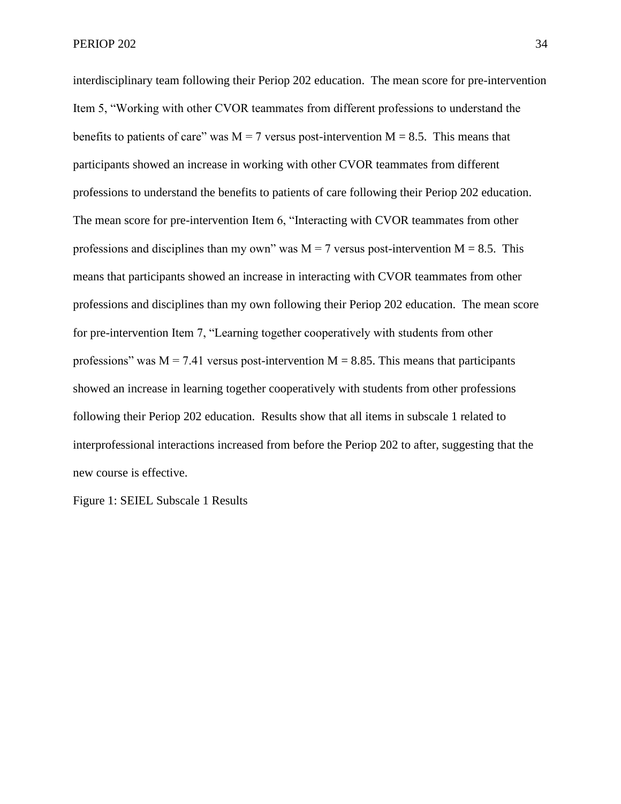interdisciplinary team following their Periop 202 education. The mean score for pre-intervention Item 5, "Working with other CVOR teammates from different professions to understand the benefits to patients of care" was  $M = 7$  versus post-intervention  $M = 8.5$ . This means that participants showed an increase in working with other CVOR teammates from different professions to understand the benefits to patients of care following their Periop 202 education. The mean score for pre-intervention Item 6, "Interacting with CVOR teammates from other professions and disciplines than my own" was  $M = 7$  versus post-intervention  $M = 8.5$ . This means that participants showed an increase in interacting with CVOR teammates from other professions and disciplines than my own following their Periop 202 education. The mean score for pre-intervention Item 7, "Learning together cooperatively with students from other professions" was  $M = 7.41$  versus post-intervention  $M = 8.85$ . This means that participants showed an increase in learning together cooperatively with students from other professions following their Periop 202 education. Results show that all items in subscale 1 related to interprofessional interactions increased from before the Periop 202 to after, suggesting that the new course is effective.

Figure 1: SEIEL Subscale 1 Results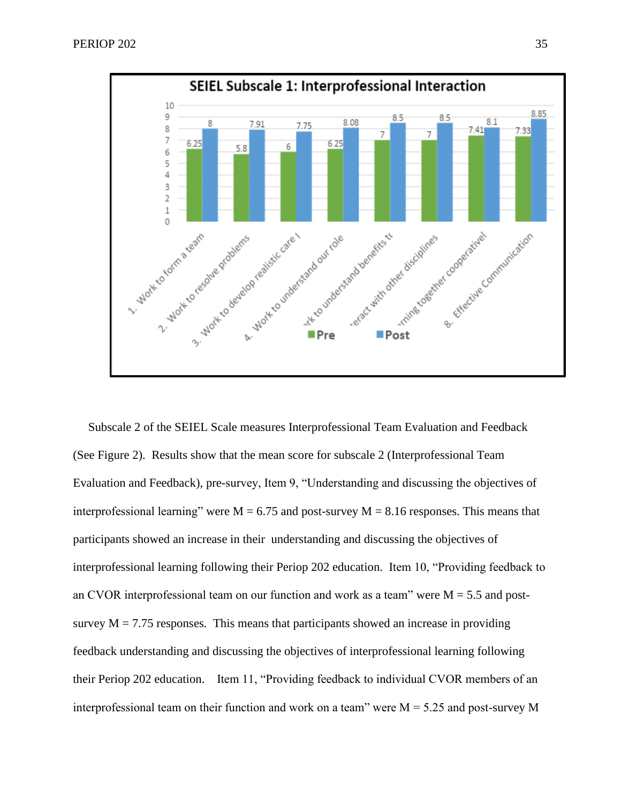

 Subscale 2 of the SEIEL Scale measures Interprofessional Team Evaluation and Feedback (See Figure 2). Results show that the mean score for subscale 2 (Interprofessional Team Evaluation and Feedback), pre-survey, Item 9, "Understanding and discussing the objectives of interprofessional learning" were  $M = 6.75$  and post-survey  $M = 8.16$  responses. This means that participants showed an increase in their understanding and discussing the objectives of interprofessional learning following their Periop 202 education. Item 10, "Providing feedback to an CVOR interprofessional team on our function and work as a team" were  $M = 5.5$  and postsurvey  $M = 7.75$  responses. This means that participants showed an increase in providing feedback understanding and discussing the objectives of interprofessional learning following their Periop 202 education. Item 11, "Providing feedback to individual CVOR members of an interprofessional team on their function and work on a team" were  $M = 5.25$  and post-survey M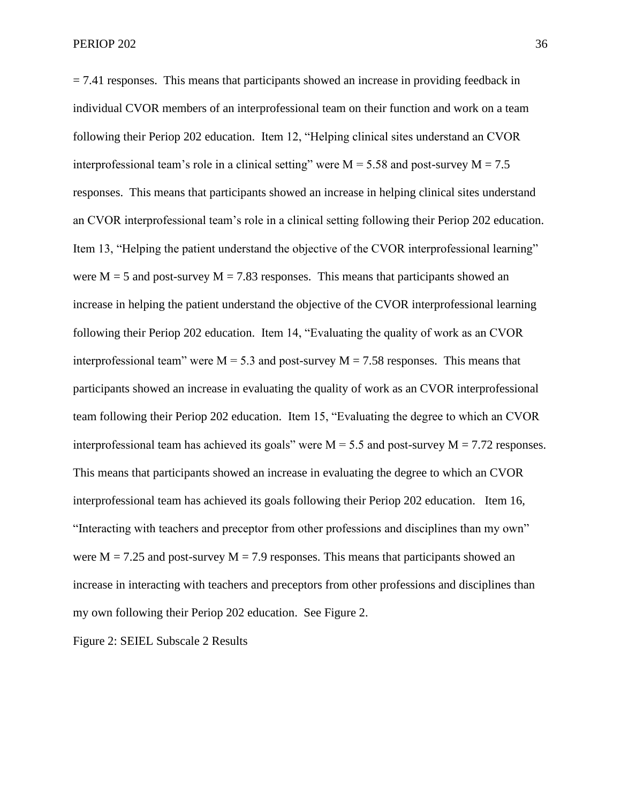$= 7.41$  responses. This means that participants showed an increase in providing feedback in individual CVOR members of an interprofessional team on their function and work on a team following their Periop 202 education. Item 12, "Helping clinical sites understand an CVOR interprofessional team's role in a clinical setting" were  $M = 5.58$  and post-survey  $M = 7.5$ responses. This means that participants showed an increase in helping clinical sites understand an CVOR interprofessional team's role in a clinical setting following their Periop 202 education. Item 13, "Helping the patient understand the objective of the CVOR interprofessional learning" were  $M = 5$  and post-survey  $M = 7.83$  responses. This means that participants showed an increase in helping the patient understand the objective of the CVOR interprofessional learning following their Periop 202 education. Item 14, "Evaluating the quality of work as an CVOR interprofessional team" were  $M = 5.3$  and post-survey  $M = 7.58$  responses. This means that participants showed an increase in evaluating the quality of work as an CVOR interprofessional team following their Periop 202 education. Item 15, "Evaluating the degree to which an CVOR interprofessional team has achieved its goals" were  $M = 5.5$  and post-survey  $M = 7.72$  responses. This means that participants showed an increase in evaluating the degree to which an CVOR interprofessional team has achieved its goals following their Periop 202 education. Item 16, "Interacting with teachers and preceptor from other professions and disciplines than my own" were  $M = 7.25$  and post-survey  $M = 7.9$  responses. This means that participants showed an increase in interacting with teachers and preceptors from other professions and disciplines than my own following their Periop 202 education. See Figure 2.

Figure 2: SEIEL Subscale 2 Results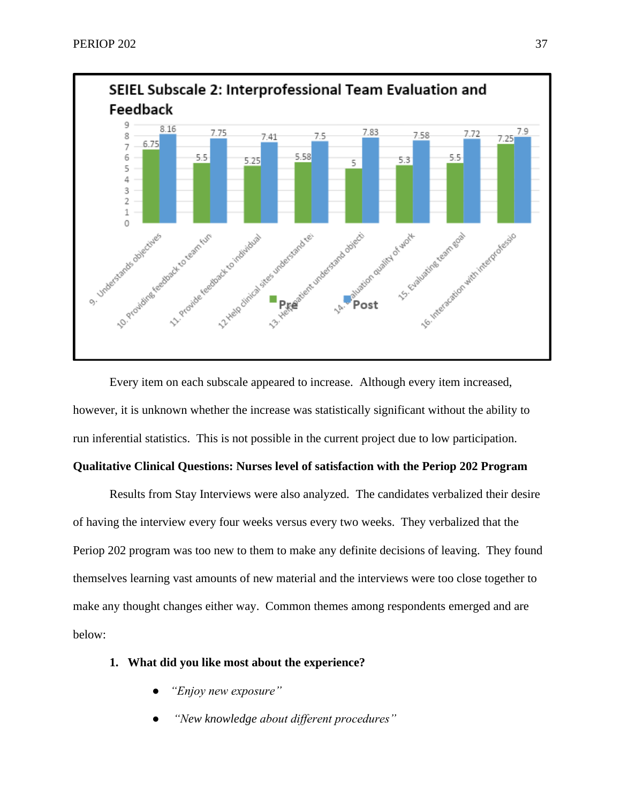

Every item on each subscale appeared to increase. Although every item increased, however, it is unknown whether the increase was statistically significant without the ability to run inferential statistics. This is not possible in the current project due to low participation.

### **Qualitative Clinical Questions: Nurses level of satisfaction with the Periop 202 Program**

Results from Stay Interviews were also analyzed. The candidates verbalized their desire of having the interview every four weeks versus every two weeks. They verbalized that the Periop 202 program was too new to them to make any definite decisions of leaving. They found themselves learning vast amounts of new material and the interviews were too close together to make any thought changes either way. Common themes among respondents emerged and are below:

- **1. What did you like most about the experience?**
	- *"Enjoy new exposure"*
	- *"New knowledge about different procedures"*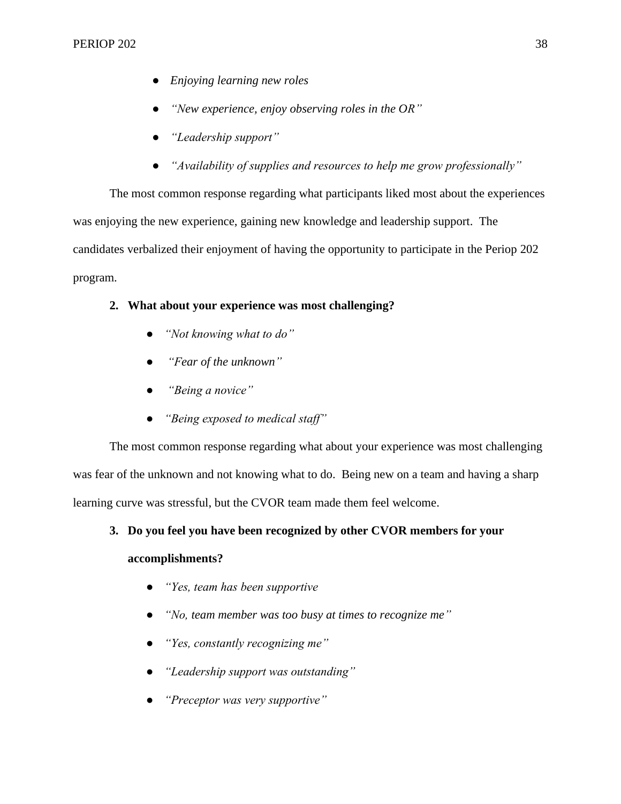- *Enjoying learning new roles*
- *"New experience, enjoy observing roles in the OR"*
- *"Leadership support"*
- *"Availability of supplies and resources to help me grow professionally"*

The most common response regarding what participants liked most about the experiences was enjoying the new experience, gaining new knowledge and leadership support. The candidates verbalized their enjoyment of having the opportunity to participate in the Periop 202 program.

## **2. What about your experience was most challenging?**

- *"Not knowing what to do"*
- *"Fear of the unknown"*
- *"Being a novice"*
- *"Being exposed to medical staff"*

The most common response regarding what about your experience was most challenging was fear of the unknown and not knowing what to do. Being new on a team and having a sharp learning curve was stressful, but the CVOR team made them feel welcome.

## **3. Do you feel you have been recognized by other CVOR members for your**

## **accomplishments?**

- *"Yes, team has been supportive*
- "No, team member was too busy at times to recognize me"
- *"Yes, constantly recognizing me"*
- *"Leadership support was outstanding"*
- *"Preceptor was very supportive"*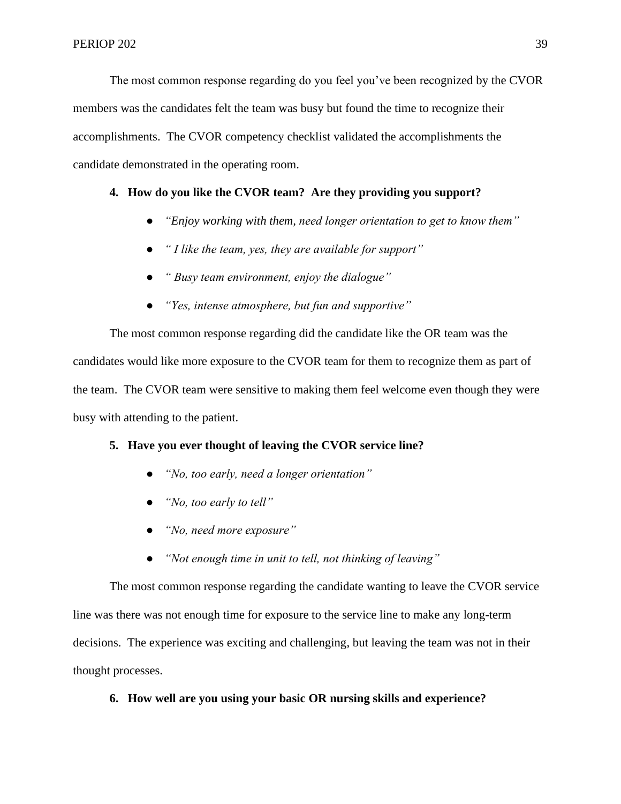The most common response regarding do you feel you've been recognized by the CVOR members was the candidates felt the team was busy but found the time to recognize their accomplishments. The CVOR competency checklist validated the accomplishments the candidate demonstrated in the operating room.

## **4. How do you like the CVOR team? Are they providing you support?**

- *"Enjoy working with them, need longer orientation to get to know them"*
- *" I like the team, yes, they are available for support"*
- *" Busy team environment, enjoy the dialogue"*
- *"Yes, intense atmosphere, but fun and supportive"*

The most common response regarding did the candidate like the OR team was the candidates would like more exposure to the CVOR team for them to recognize them as part of the team. The CVOR team were sensitive to making them feel welcome even though they were busy with attending to the patient.

#### **5. Have you ever thought of leaving the CVOR service line?**

- *"No, too early, need a longer orientation"*
- *"No, too early to tell"*
- *"No, need more exposure"*
- *"Not enough time in unit to tell, not thinking of leaving"*

The most common response regarding the candidate wanting to leave the CVOR service line was there was not enough time for exposure to the service line to make any long-term decisions. The experience was exciting and challenging, but leaving the team was not in their thought processes.

### **6. How well are you using your basic OR nursing skills and experience?**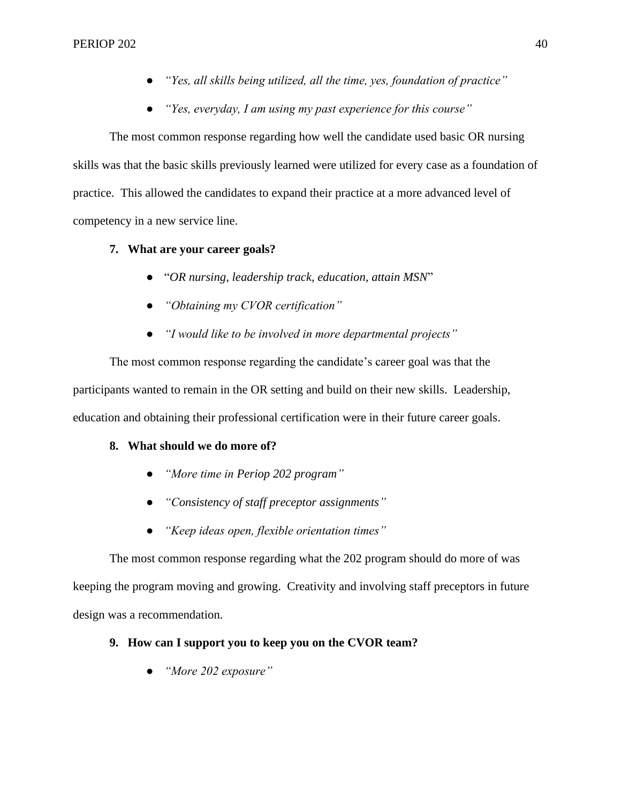- *"Yes, all skills being utilized, all the time, yes, foundation of practice"*
- *"Yes, everyday, I am using my past experience for this course"*

The most common response regarding how well the candidate used basic OR nursing skills was that the basic skills previously learned were utilized for every case as a foundation of practice. This allowed the candidates to expand their practice at a more advanced level of competency in a new service line.

## **7. What are your career goals?**

- "*OR nursing, leadership track, education, attain MSN*"
- *"Obtaining my CVOR certification"*
- *"I would like to be involved in more departmental projects"*

The most common response regarding the candidate's career goal was that the participants wanted to remain in the OR setting and build on their new skills. Leadership, education and obtaining their professional certification were in their future career goals.

## **8. What should we do more of?**

- *"More time in Periop 202 program"*
- *"Consistency of staff preceptor assignments"*
- *"Keep ideas open, flexible orientation times"*

The most common response regarding what the 202 program should do more of was keeping the program moving and growing. Creativity and involving staff preceptors in future design was a recommendation.

## **9. How can I support you to keep you on the CVOR team?**

● *"More 202 exposure"*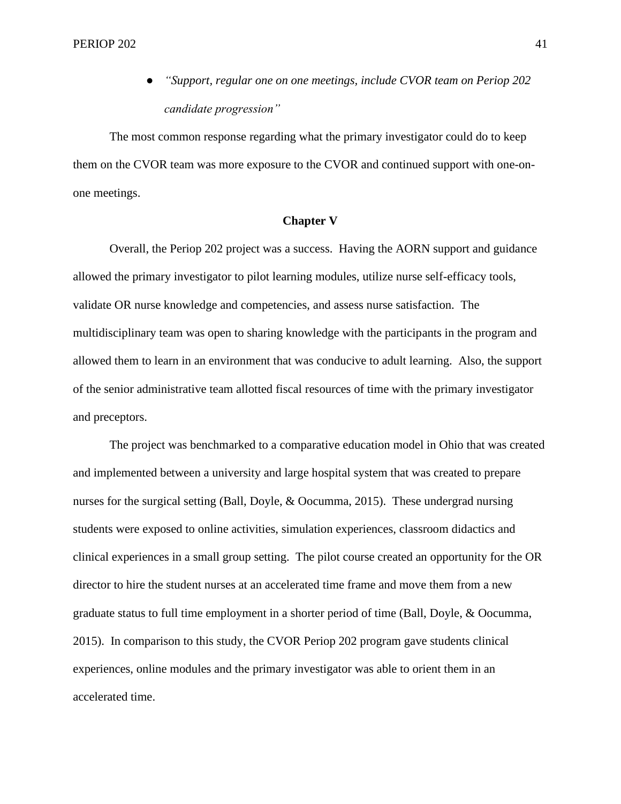● *"Support, regular one on one meetings, include CVOR team on Periop 202 candidate progression"*

The most common response regarding what the primary investigator could do to keep them on the CVOR team was more exposure to the CVOR and continued support with one-onone meetings.

#### **Chapter V**

Overall, the Periop 202 project was a success. Having the AORN support and guidance allowed the primary investigator to pilot learning modules, utilize nurse self-efficacy tools, validate OR nurse knowledge and competencies, and assess nurse satisfaction. The multidisciplinary team was open to sharing knowledge with the participants in the program and allowed them to learn in an environment that was conducive to adult learning. Also, the support of the senior administrative team allotted fiscal resources of time with the primary investigator and preceptors.

The project was benchmarked to a comparative education model in Ohio that was created and implemented between a university and large hospital system that was created to prepare nurses for the surgical setting (Ball, Doyle, & Oocumma, 2015). These undergrad nursing students were exposed to online activities, simulation experiences, classroom didactics and clinical experiences in a small group setting. The pilot course created an opportunity for the OR director to hire the student nurses at an accelerated time frame and move them from a new graduate status to full time employment in a shorter period of time (Ball, Doyle, & Oocumma, 2015). In comparison to this study, the CVOR Periop 202 program gave students clinical experiences, online modules and the primary investigator was able to orient them in an accelerated time.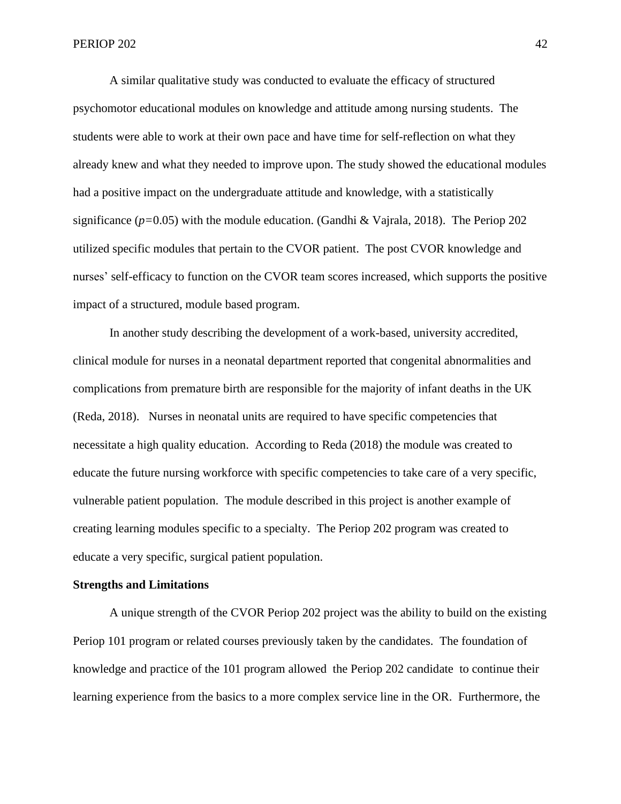A similar qualitative study was conducted to evaluate the efficacy of structured psychomotor educational modules on knowledge and attitude among nursing students. The students were able to work at their own pace and have time for self-reflection on what they already knew and what they needed to improve upon. The study showed the educational modules had a positive impact on the undergraduate attitude and knowledge, with a statistically significance (*p=*0.05) with the module education. (Gandhi & Vajrala, 2018). The Periop 202 utilized specific modules that pertain to the CVOR patient. The post CVOR knowledge and nurses' self-efficacy to function on the CVOR team scores increased, which supports the positive impact of a structured, module based program.

 In another study describing the development of a work-based, university accredited, clinical module for nurses in a neonatal department reported that congenital abnormalities and complications from premature birth are responsible for the majority of infant deaths in the UK (Reda, 2018). Nurses in neonatal units are required to have specific competencies that necessitate a high quality education. According to Reda (2018) the module was created to educate the future nursing workforce with specific competencies to take care of a very specific, vulnerable patient population. The module described in this project is another example of creating learning modules specific to a specialty. The Periop 202 program was created to educate a very specific, surgical patient population.

#### **Strengths and Limitations**

A unique strength of the CVOR Periop 202 project was the ability to build on the existing Periop 101 program or related courses previously taken by the candidates. The foundation of knowledge and practice of the 101 program allowed the Periop 202 candidate to continue their learning experience from the basics to a more complex service line in the OR. Furthermore, the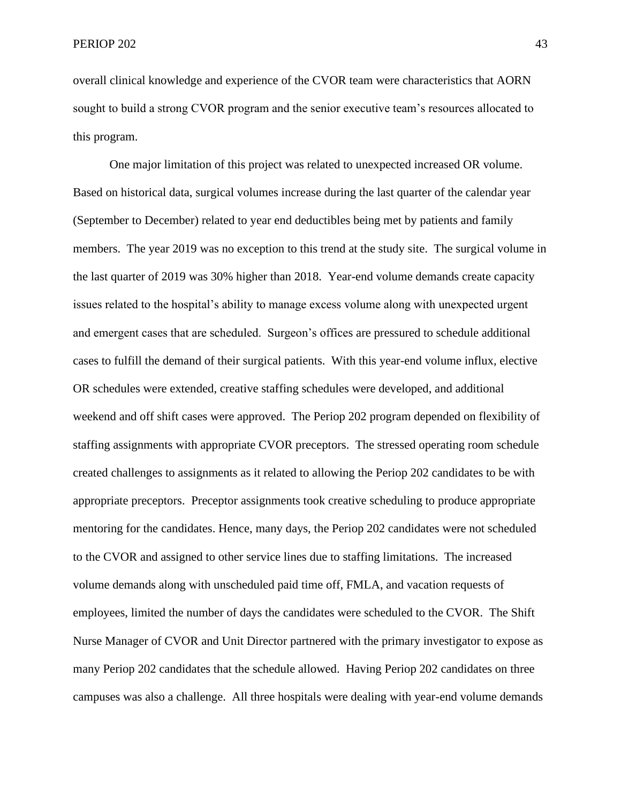overall clinical knowledge and experience of the CVOR team were characteristics that AORN sought to build a strong CVOR program and the senior executive team's resources allocated to this program.

One major limitation of this project was related to unexpected increased OR volume. Based on historical data, surgical volumes increase during the last quarter of the calendar year (September to December) related to year end deductibles being met by patients and family members. The year 2019 was no exception to this trend at the study site. The surgical volume in the last quarter of 2019 was 30% higher than 2018. Year-end volume demands create capacity issues related to the hospital's ability to manage excess volume along with unexpected urgent and emergent cases that are scheduled. Surgeon's offices are pressured to schedule additional cases to fulfill the demand of their surgical patients. With this year-end volume influx, elective OR schedules were extended, creative staffing schedules were developed, and additional weekend and off shift cases were approved. The Periop 202 program depended on flexibility of staffing assignments with appropriate CVOR preceptors. The stressed operating room schedule created challenges to assignments as it related to allowing the Periop 202 candidates to be with appropriate preceptors. Preceptor assignments took creative scheduling to produce appropriate mentoring for the candidates. Hence, many days, the Periop 202 candidates were not scheduled to the CVOR and assigned to other service lines due to staffing limitations. The increased volume demands along with unscheduled paid time off, FMLA, and vacation requests of employees, limited the number of days the candidates were scheduled to the CVOR. The Shift Nurse Manager of CVOR and Unit Director partnered with the primary investigator to expose as many Periop 202 candidates that the schedule allowed. Having Periop 202 candidates on three campuses was also a challenge. All three hospitals were dealing with year-end volume demands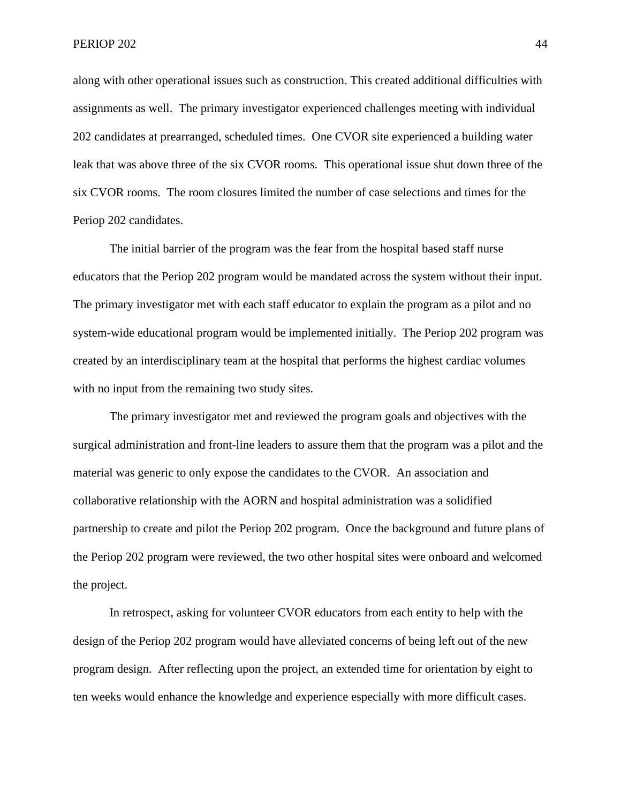along with other operational issues such as construction. This created additional difficulties with assignments as well. The primary investigator experienced challenges meeting with individual 202 candidates at prearranged, scheduled times. One CVOR site experienced a building water leak that was above three of the six CVOR rooms. This operational issue shut down three of the six CVOR rooms. The room closures limited the number of case selections and times for the Periop 202 candidates.

The initial barrier of the program was the fear from the hospital based staff nurse educators that the Periop 202 program would be mandated across the system without their input. The primary investigator met with each staff educator to explain the program as a pilot and no system-wide educational program would be implemented initially. The Periop 202 program was created by an interdisciplinary team at the hospital that performs the highest cardiac volumes with no input from the remaining two study sites.

 The primary investigator met and reviewed the program goals and objectives with the surgical administration and front-line leaders to assure them that the program was a pilot and the material was generic to only expose the candidates to the CVOR. An association and collaborative relationship with the AORN and hospital administration was a solidified partnership to create and pilot the Periop 202 program. Once the background and future plans of the Periop 202 program were reviewed, the two other hospital sites were onboard and welcomed the project.

 In retrospect, asking for volunteer CVOR educators from each entity to help with the design of the Periop 202 program would have alleviated concerns of being left out of the new program design. After reflecting upon the project, an extended time for orientation by eight to ten weeks would enhance the knowledge and experience especially with more difficult cases.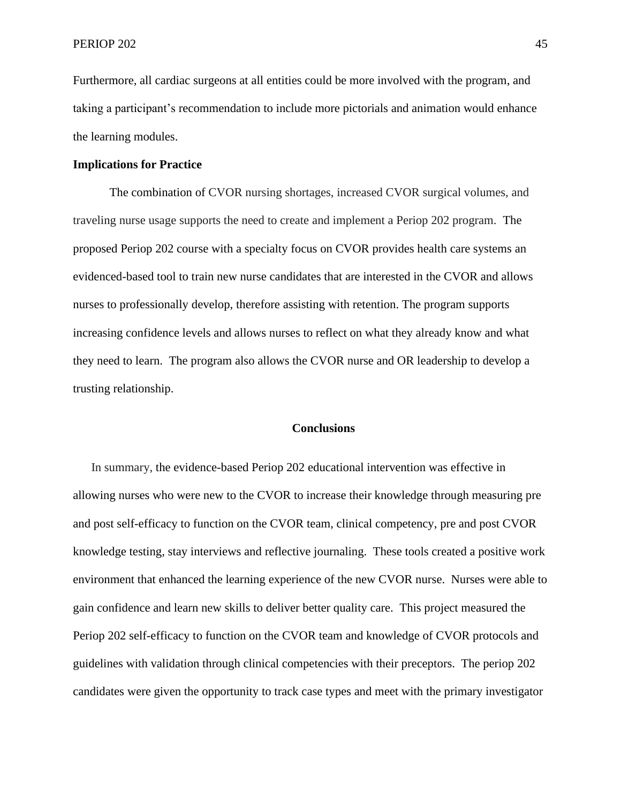Furthermore, all cardiac surgeons at all entities could be more involved with the program, and taking a participant's recommendation to include more pictorials and animation would enhance the learning modules.

#### **Implications for Practice**

The combination of CVOR nursing shortages, increased CVOR surgical volumes, and traveling nurse usage supports the need to create and implement a Periop 202 program. The proposed Periop 202 course with a specialty focus on CVOR provides health care systems an evidenced-based tool to train new nurse candidates that are interested in the CVOR and allows nurses to professionally develop, therefore assisting with retention. The program supports increasing confidence levels and allows nurses to reflect on what they already know and what they need to learn. The program also allows the CVOR nurse and OR leadership to develop a trusting relationship.

#### **Conclusions**

 In summary, the evidence-based Periop 202 educational intervention was effective in allowing nurses who were new to the CVOR to increase their knowledge through measuring pre and post self-efficacy to function on the CVOR team, clinical competency, pre and post CVOR knowledge testing, stay interviews and reflective journaling. These tools created a positive work environment that enhanced the learning experience of the new CVOR nurse. Nurses were able to gain confidence and learn new skills to deliver better quality care. This project measured the Periop 202 self-efficacy to function on the CVOR team and knowledge of CVOR protocols and guidelines with validation through clinical competencies with their preceptors. The periop 202 candidates were given the opportunity to track case types and meet with the primary investigator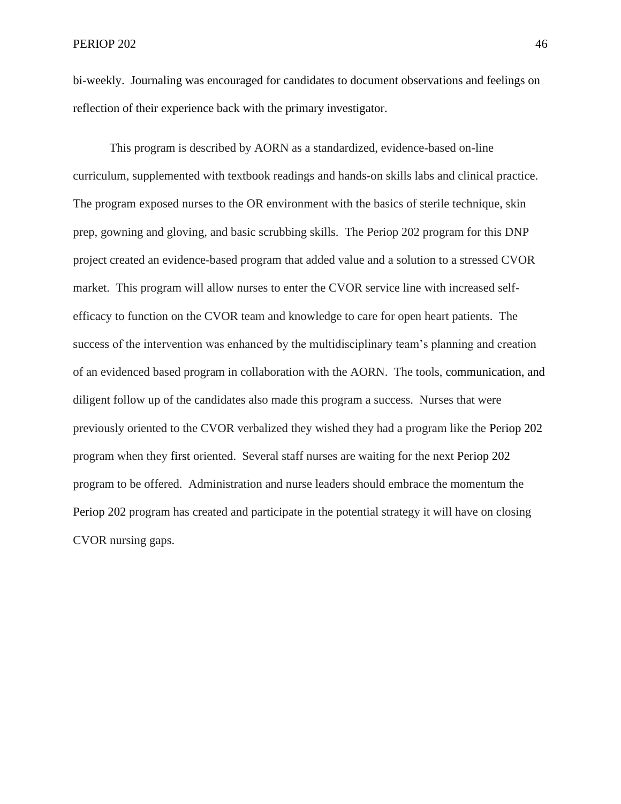bi-weekly. Journaling was encouraged for candidates to document observations and feelings on reflection of their experience back with the primary investigator.

This program is described by AORN as a standardized, evidence-based on-line curriculum, supplemented with textbook readings and hands-on skills labs and clinical practice. The program exposed nurses to the OR environment with the basics of sterile technique, skin prep, gowning and gloving, and basic scrubbing skills. The Periop 202 program for this DNP project created an evidence-based program that added value and a solution to a stressed CVOR market. This program will allow nurses to enter the CVOR service line with increased selfefficacy to function on the CVOR team and knowledge to care for open heart patients. The success of the intervention was enhanced by the multidisciplinary team's planning and creation of an evidenced based program in collaboration with the AORN. The tools, communication, and diligent follow up of the candidates also made this program a success. Nurses that were previously oriented to the CVOR verbalized they wished they had a program like the Periop 202 program when they first oriented. Several staff nurses are waiting for the next Periop 202 program to be offered. Administration and nurse leaders should embrace the momentum the Periop 202 program has created and participate in the potential strategy it will have on closing CVOR nursing gaps.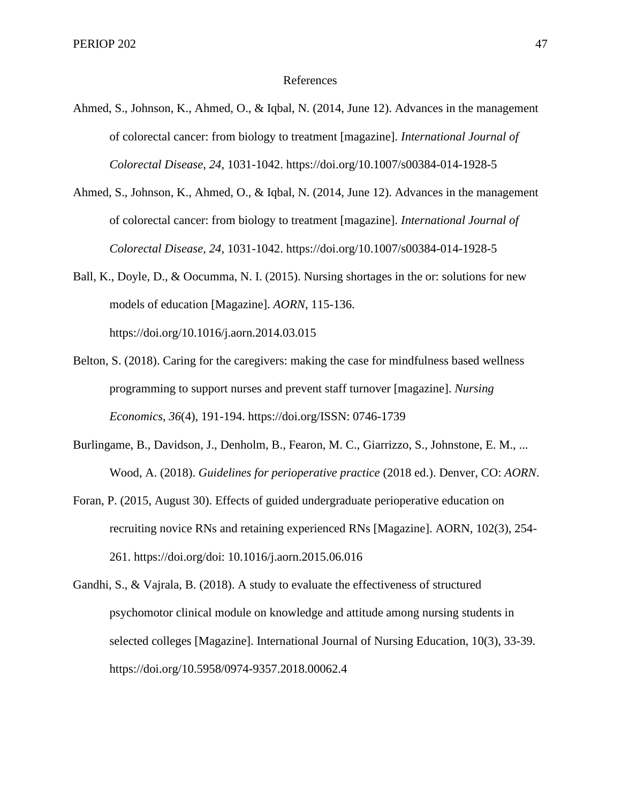#### References

- Ahmed, S., Johnson, K., Ahmed, O., & Iqbal, N. (2014, June 12). Advances in the management of colorectal cancer: from biology to treatment [magazine]. *International Journal of Colorectal Disease*, *24*, 1031-1042. https://doi.org/10.1007/s00384-014-1928-5
- Ahmed, S., Johnson, K., Ahmed, O., & Iqbal, N. (2014, June 12). Advances in the management of colorectal cancer: from biology to treatment [magazine]. *International Journal of Colorectal Disease*, *24*, 1031-1042. https://doi.org/10.1007/s00384-014-1928-5
- Ball, K., Doyle, D., & Oocumma, N. I. (2015). Nursing shortages in the or: solutions for new models of education [Magazine]. *AORN*, 115-136. https://doi.org/10.1016/j.aorn.2014.03.015
- Belton, S. (2018). Caring for the caregivers: making the case for mindfulness based wellness programming to support nurses and prevent staff turnover [magazine]. *Nursing Economics*, *36*(4), 191-194. https://doi.org/ISSN: 0746-1739
- Burlingame, B., Davidson, J., Denholm, B., Fearon, M. C., Giarrizzo, S., Johnstone, E. M., ... Wood, A. (2018). *Guidelines for perioperative practice* (2018 ed.). Denver, CO: *AORN*.
- Foran, P. (2015, August 30). Effects of guided undergraduate perioperative education on recruiting novice RNs and retaining experienced RNs [Magazine]. AORN, 102(3), 254- 261. https://doi.org/doi: 10.1016/j.aorn.2015.06.016
- Gandhi, S., & Vajrala, B. (2018). A study to evaluate the effectiveness of structured psychomotor clinical module on knowledge and attitude among nursing students in selected colleges [Magazine]. International Journal of Nursing Education, 10(3), 33-39. https://doi.org/10.5958/0974-9357.2018.00062.4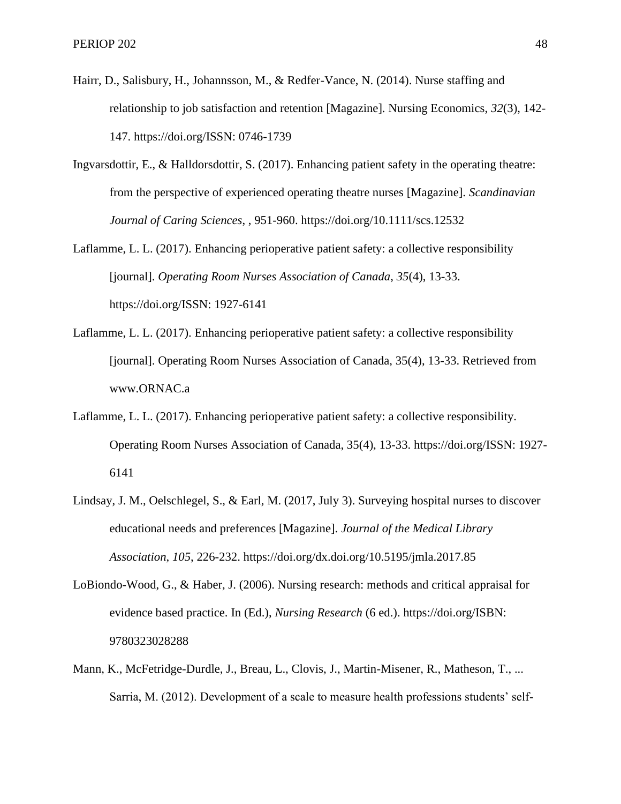- Hairr, D., Salisbury, H., Johannsson, M., & Redfer-Vance, N. (2014). Nurse staffing and relationship to job satisfaction and retention [Magazine]. Nursing Economics, *32*(3), 142- 147. https://doi.org/ISSN: 0746-1739
- Ingvarsdottir, E., & Halldorsdottir, S. (2017). Enhancing patient safety in the operating theatre: from the perspective of experienced operating theatre nurses [Magazine]. *Scandinavian Journal of Caring Sciences*, , 951-960. https://doi.org/10.1111/scs.12532
- Laflamme, L. L. (2017). Enhancing perioperative patient safety: a collective responsibility [journal]. *Operating Room Nurses Association of Canada*, *35*(4), 13-33. https://doi.org/ISSN: 1927-6141
- Laflamme, L. L. (2017). Enhancing perioperative patient safety: a collective responsibility [journal]. Operating Room Nurses Association of Canada, 35(4), 13-33. Retrieved from www.ORNAC.a
- Laflamme, L. L. (2017). Enhancing perioperative patient safety: a collective responsibility. Operating Room Nurses Association of Canada, 35(4), 13-33. https://doi.org/ISSN: 1927- 6141
- Lindsay, J. M., Oelschlegel, S., & Earl, M. (2017, July 3). Surveying hospital nurses to discover educational needs and preferences [Magazine]. *Journal of the Medical Library Association*, *105*, 226-232. https://doi.org/dx.doi.org/10.5195/jmla.2017.85
- LoBiondo-Wood, G., & Haber, J. (2006). Nursing research: methods and critical appraisal for evidence based practice. In (Ed.), *Nursing Research* (6 ed.). https://doi.org/ISBN: 9780323028288
- Mann, K., McFetridge-Durdle, J., Breau, L., Clovis, J., Martin-Misener, R., Matheson, T., ... Sarria, M. (2012). Development of a scale to measure health professions students' self-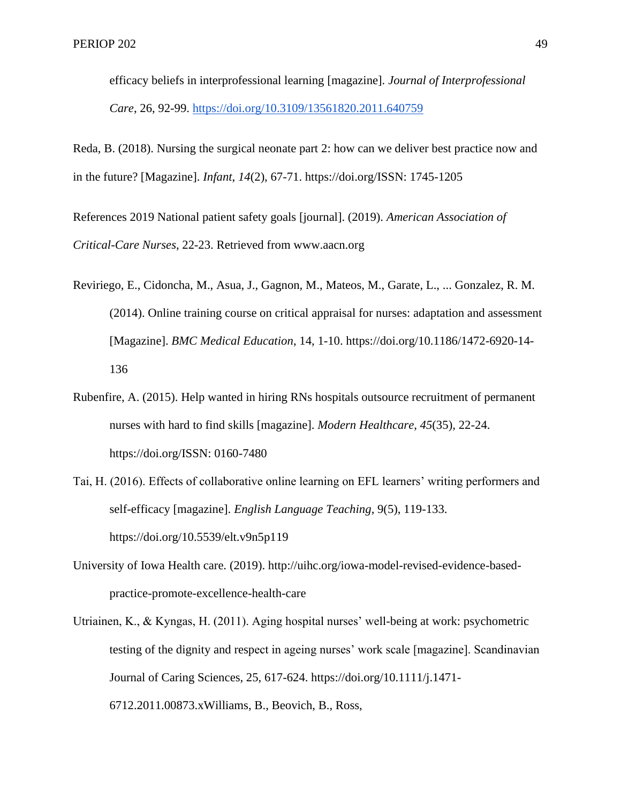efficacy beliefs in interprofessional learning [magazine]. *Journal of Interprofessional Care*, 26, 92-99.<https://doi.org/10.3109/13561820.2011.640759>

Reda, B. (2018). Nursing the surgical neonate part 2: how can we deliver best practice now and in the future? [Magazine]. *Infant*, *14*(2), 67-71. https://doi.org/ISSN: 1745-1205

References 2019 National patient safety goals [journal]. (2019). *American Association of Critical-Care Nurses*, 22-23. Retrieved from www.aacn.org

- Reviriego, E., Cidoncha, M., Asua, J., Gagnon, M., Mateos, M., Garate, L., ... Gonzalez, R. M. (2014). Online training course on critical appraisal for nurses: adaptation and assessment [Magazine]. *BMC Medical Education*, 14, 1-10. https://doi.org/10.1186/1472-6920-14- 136
- Rubenfire, A. (2015). Help wanted in hiring RNs hospitals outsource recruitment of permanent nurses with hard to find skills [magazine]. *Modern Healthcare*, *45*(35), 22-24. https://doi.org/ISSN: 0160-7480
- Tai, H. (2016). Effects of collaborative online learning on EFL learners' writing performers and self-efficacy [magazine]. *English Language Teaching*, 9(5), 119-133. https://doi.org/10.5539/elt.v9n5p119
- University of Iowa Health care. (2019). http://uihc.org/iowa-model-revised-evidence-basedpractice-promote-excellence-health-care
- Utriainen, K., & Kyngas, H. (2011). Aging hospital nurses' well-being at work: psychometric testing of the dignity and respect in ageing nurses' work scale [magazine]. Scandinavian Journal of Caring Sciences, 25, 617-624. https://doi.org/10.1111/j.1471- 6712.2011.00873.xWilliams, B., Beovich, B., Ross,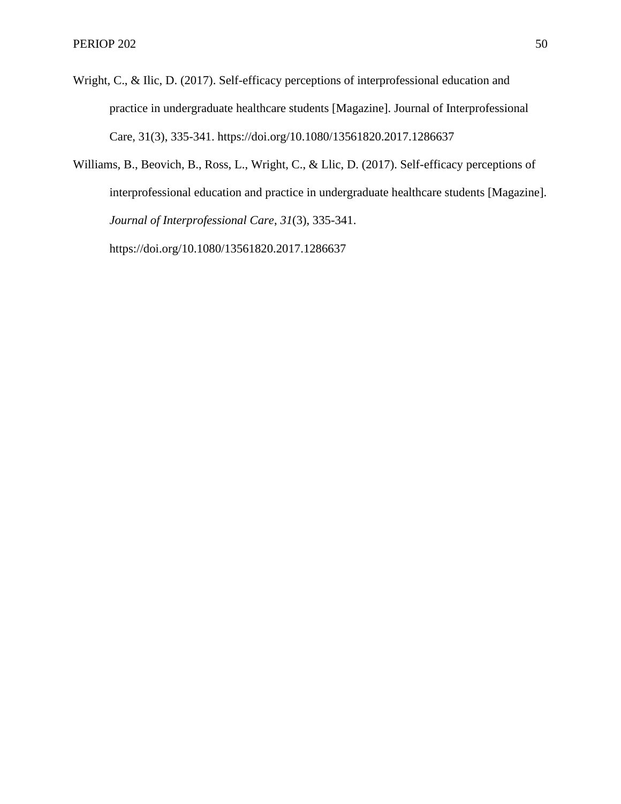- Wright, C., & Ilic, D. (2017). Self-efficacy perceptions of interprofessional education and practice in undergraduate healthcare students [Magazine]. Journal of Interprofessional Care, 31(3), 335-341. https://doi.org/10.1080/13561820.2017.1286637
- Williams, B., Beovich, B., Ross, L., Wright, C., & Llic, D. (2017). Self-efficacy perceptions of interprofessional education and practice in undergraduate healthcare students [Magazine]. *Journal of Interprofessional Care*, *31*(3), 335-341. https://doi.org/10.1080/13561820.2017.1286637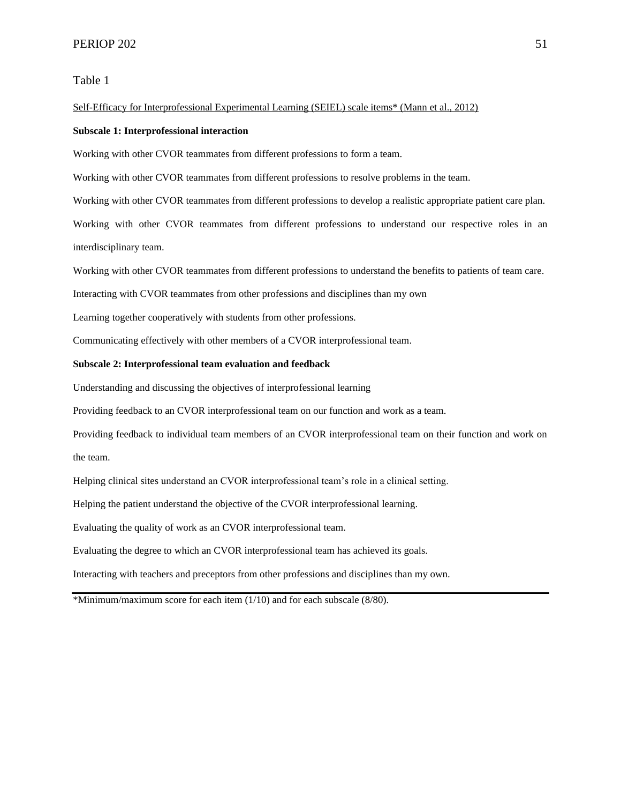Table 1

#### Self-Efficacy for Interprofessional Experimental Learning (SEIEL) scale items\* (Mann et al., 2012)

#### **Subscale 1: Interprofessional interaction**

Working with other CVOR teammates from different professions to form a team.

Working with other CVOR teammates from different professions to resolve problems in the team.

Working with other CVOR teammates from different professions to develop a realistic appropriate patient care plan.

Working with other CVOR teammates from different professions to understand our respective roles in an interdisciplinary team.

Working with other CVOR teammates from different professions to understand the benefits to patients of team care.

Interacting with CVOR teammates from other professions and disciplines than my own

Learning together cooperatively with students from other professions.

Communicating effectively with other members of a CVOR interprofessional team.

#### **Subscale 2: Interprofessional team evaluation and feedback**

Understanding and discussing the objectives of interprofessional learning

Providing feedback to an CVOR interprofessional team on our function and work as a team.

Providing feedback to individual team members of an CVOR interprofessional team on their function and work on the team.

Helping clinical sites understand an CVOR interprofessional team's role in a clinical setting.

Helping the patient understand the objective of the CVOR interprofessional learning.

Evaluating the quality of work as an CVOR interprofessional team.

Evaluating the degree to which an CVOR interprofessional team has achieved its goals.

Interacting with teachers and preceptors from other professions and disciplines than my own.

\*Minimum/maximum score for each item (1/10) and for each subscale (8/80).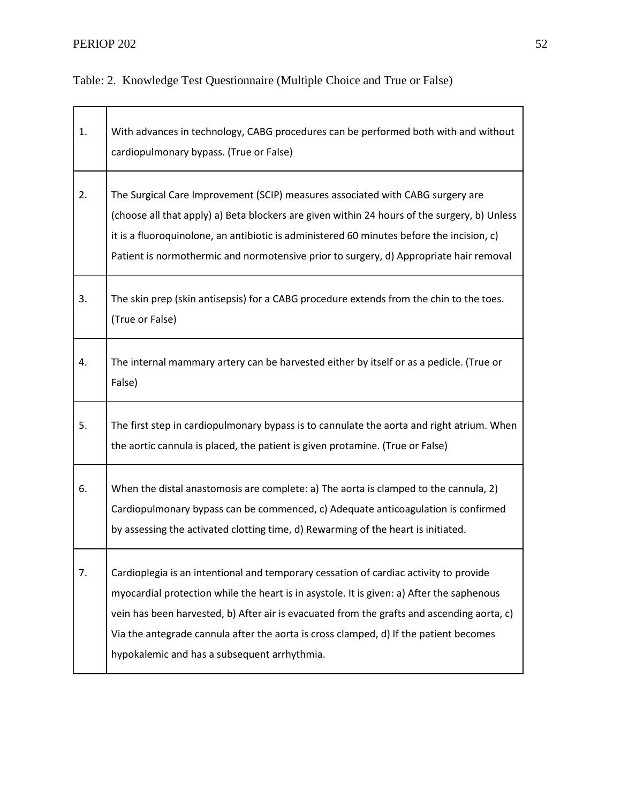## **PERIOP 202** 52

Table: 2. Knowledge Test Questionnaire (Multiple Choice and True or False)

| 1. | With advances in technology, CABG procedures can be performed both with and without<br>cardiopulmonary bypass. (True or False)                                                                                                                                                                                                                                                                                            |
|----|---------------------------------------------------------------------------------------------------------------------------------------------------------------------------------------------------------------------------------------------------------------------------------------------------------------------------------------------------------------------------------------------------------------------------|
| 2. | The Surgical Care Improvement (SCIP) measures associated with CABG surgery are<br>(choose all that apply) a) Beta blockers are given within 24 hours of the surgery, b) Unless<br>it is a fluoroquinolone, an antibiotic is administered 60 minutes before the incision, c)<br>Patient is normothermic and normotensive prior to surgery, d) Appropriate hair removal                                                     |
| 3. | The skin prep (skin antisepsis) for a CABG procedure extends from the chin to the toes.<br>(True or False)                                                                                                                                                                                                                                                                                                                |
| 4. | The internal mammary artery can be harvested either by itself or as a pedicle. (True or<br>False)                                                                                                                                                                                                                                                                                                                         |
| 5. | The first step in cardiopulmonary bypass is to cannulate the aorta and right atrium. When<br>the aortic cannula is placed, the patient is given protamine. (True or False)                                                                                                                                                                                                                                                |
| 6. | When the distal anastomosis are complete: a) The aorta is clamped to the cannula, 2)<br>Cardiopulmonary bypass can be commenced, c) Adequate anticoagulation is confirmed<br>by assessing the activated clotting time, d) Rewarming of the heart is initiated.                                                                                                                                                            |
| 7. | Cardioplegia is an intentional and temporary cessation of cardiac activity to provide<br>myocardial protection while the heart is in asystole. It is given: a) After the saphenous<br>vein has been harvested, b) After air is evacuated from the grafts and ascending aorta, c)<br>Via the antegrade cannula after the aorta is cross clamped, d) If the patient becomes<br>hypokalemic and has a subsequent arrhythmia. |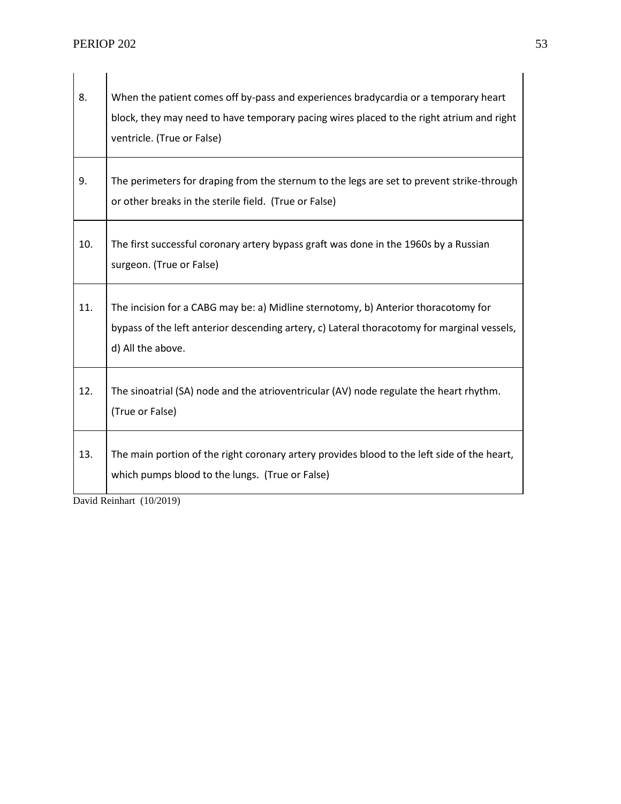| 8.  | When the patient comes off by-pass and experiences bradycardia or a temporary heart<br>block, they may need to have temporary pacing wires placed to the right atrium and right<br>ventricle. (True or False) |
|-----|---------------------------------------------------------------------------------------------------------------------------------------------------------------------------------------------------------------|
| 9.  | The perimeters for draping from the sternum to the legs are set to prevent strike-through<br>or other breaks in the sterile field. (True or False)                                                            |
| 10. | The first successful coronary artery bypass graft was done in the 1960s by a Russian<br>surgeon. (True or False)                                                                                              |
| 11. | The incision for a CABG may be: a) Midline sternotomy, b) Anterior thoracotomy for<br>bypass of the left anterior descending artery, c) Lateral thoracotomy for marginal vessels,<br>d) All the above.        |
| 12. | The sinoatrial (SA) node and the atrioventricular (AV) node regulate the heart rhythm.<br>(True or False)                                                                                                     |
| 13. | The main portion of the right coronary artery provides blood to the left side of the heart,<br>which pumps blood to the lungs. (True or False)                                                                |

David Reinhart (10/2019)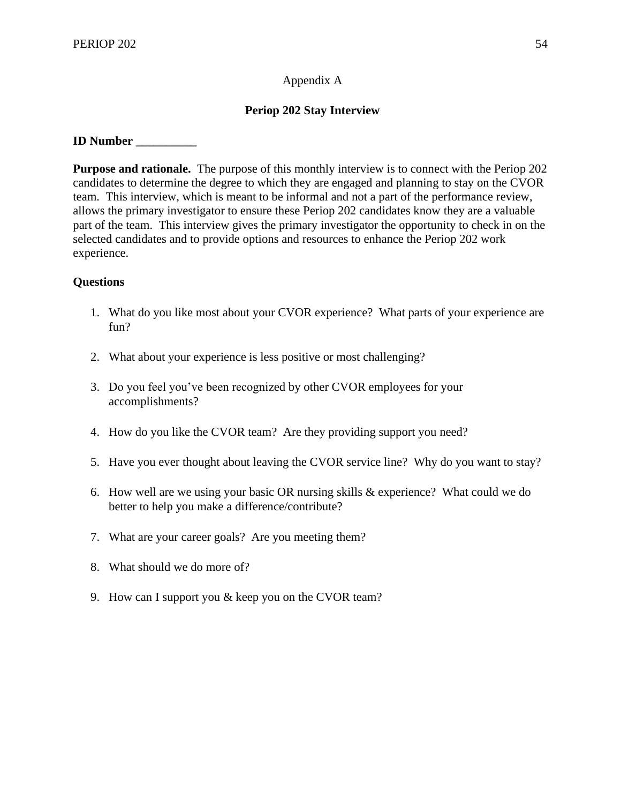## Appendix A

## **Periop 202 Stay Interview**

## **ID Number \_\_\_\_\_\_\_\_\_\_**

**Purpose and rationale.** The purpose of this monthly interview is to connect with the Periop 202 candidates to determine the degree to which they are engaged and planning to stay on the CVOR team. This interview, which is meant to be informal and not a part of the performance review, allows the primary investigator to ensure these Periop 202 candidates know they are a valuable part of the team. This interview gives the primary investigator the opportunity to check in on the selected candidates and to provide options and resources to enhance the Periop 202 work experience.

## **Questions**

- 1. What do you like most about your CVOR experience? What parts of your experience are fun?
- 2. What about your experience is less positive or most challenging?
- 3. Do you feel you've been recognized by other CVOR employees for your accomplishments?
- 4. How do you like the CVOR team? Are they providing support you need?
- 5. Have you ever thought about leaving the CVOR service line? Why do you want to stay?
- 6. How well are we using your basic OR nursing skills & experience? What could we do better to help you make a difference/contribute?
- 7. What are your career goals? Are you meeting them?
- 8. What should we do more of?
- 9. How can I support you & keep you on the CVOR team?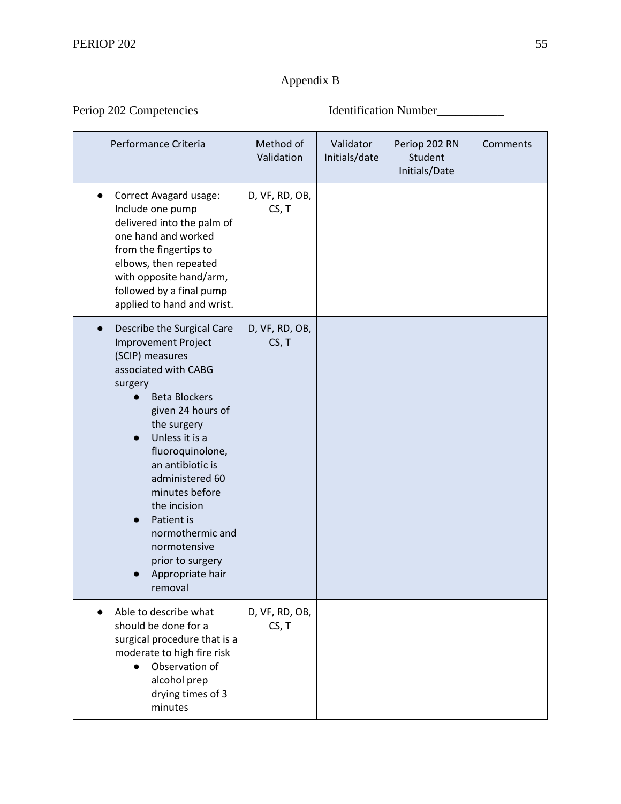## Appendix B

Periop 202 Competencies Identification Number\_\_\_\_\_\_\_\_\_\_\_

| Performance Criteria                                                                                                                                                                                                                                                                                                                                                                                                     | Method of<br>Validation | Validator<br>Initials/date | Periop 202 RN<br>Student<br>Initials/Date | Comments |
|--------------------------------------------------------------------------------------------------------------------------------------------------------------------------------------------------------------------------------------------------------------------------------------------------------------------------------------------------------------------------------------------------------------------------|-------------------------|----------------------------|-------------------------------------------|----------|
| Correct Avagard usage:<br>Include one pump<br>delivered into the palm of<br>one hand and worked<br>from the fingertips to<br>elbows, then repeated<br>with opposite hand/arm,<br>followed by a final pump<br>applied to hand and wrist.                                                                                                                                                                                  | D, VF, RD, OB,<br>CS, T |                            |                                           |          |
| Describe the Surgical Care<br>$\bullet$<br><b>Improvement Project</b><br>(SCIP) measures<br>associated with CABG<br>surgery<br><b>Beta Blockers</b><br>given 24 hours of<br>the surgery<br>Unless it is a<br>$\bullet$<br>fluoroquinolone,<br>an antibiotic is<br>administered 60<br>minutes before<br>the incision<br>Patient is<br>normothermic and<br>normotensive<br>prior to surgery<br>Appropriate hair<br>removal | D, VF, RD, OB,<br>CS, T |                            |                                           |          |
| Able to describe what<br>should be done for a<br>surgical procedure that is a<br>moderate to high fire risk<br>Observation of<br>alcohol prep<br>drying times of 3<br>minutes                                                                                                                                                                                                                                            | D, VF, RD, OB,<br>CS, T |                            |                                           |          |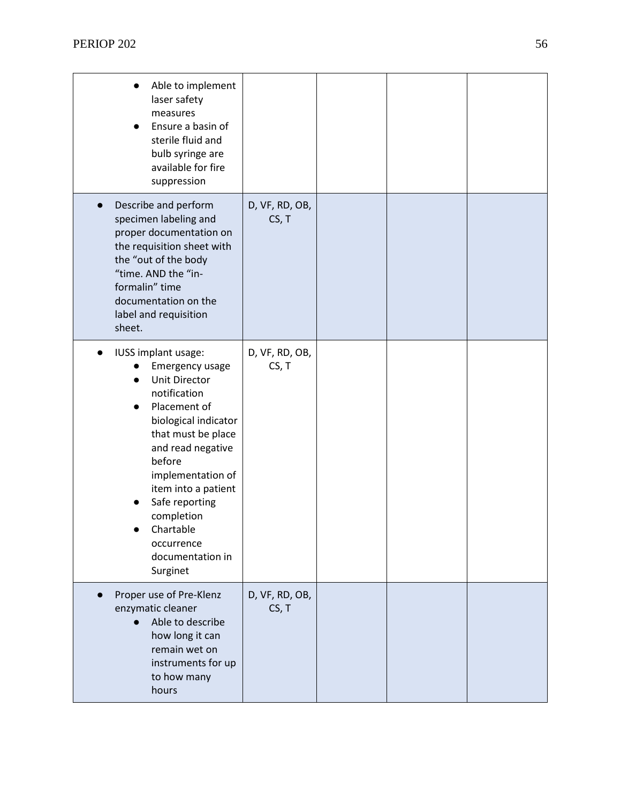| Able to implement<br>laser safety<br>measures<br>Ensure a basin of<br>sterile fluid and<br>bulb syringe are<br>available for fire                                                                                                                                                                                  |                         |  |  |
|--------------------------------------------------------------------------------------------------------------------------------------------------------------------------------------------------------------------------------------------------------------------------------------------------------------------|-------------------------|--|--|
| suppression<br>Describe and perform<br>specimen labeling and<br>proper documentation on<br>the requisition sheet with<br>the "out of the body<br>"time. AND the "in-<br>formalin" time<br>documentation on the<br>label and requisition<br>sheet.                                                                  | D, VF, RD, OB,<br>CS, T |  |  |
| IUSS implant usage:<br>Emergency usage<br><b>Unit Director</b><br>notification<br>Placement of<br>biological indicator<br>that must be place<br>and read negative<br>before<br>implementation of<br>item into a patient<br>Safe reporting<br>completion<br>Chartable<br>occurrence<br>documentation in<br>Surginet | D, VF, RD, OB,<br>CS, T |  |  |
| Proper use of Pre-Klenz<br>enzymatic cleaner<br>Able to describe<br>how long it can<br>remain wet on<br>instruments for up<br>to how many<br>hours                                                                                                                                                                 | D, VF, RD, OB,<br>CS, T |  |  |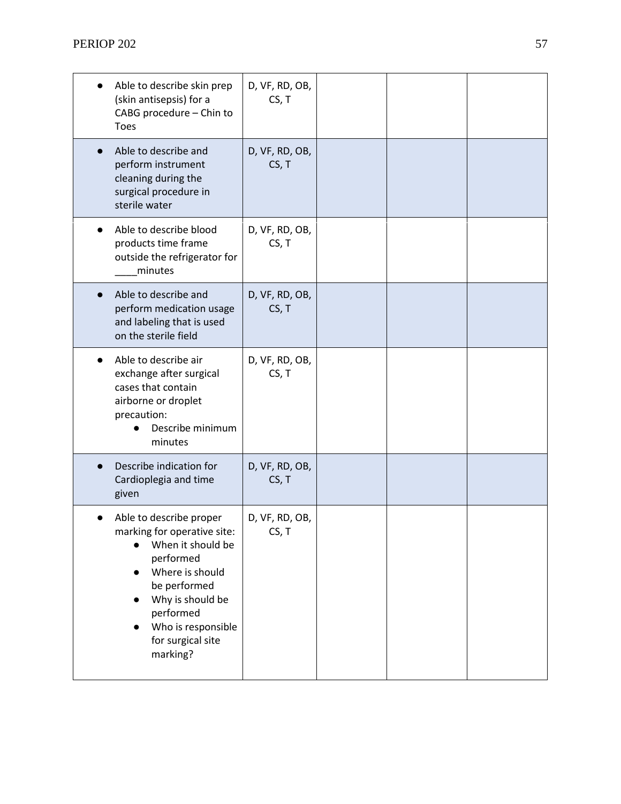| Able to describe skin prep<br>(skin antisepsis) for a<br>CABG procedure - Chin to<br><b>Toes</b>                                                                                                                    | D, VF, RD, OB,<br>CS, T |  |  |
|---------------------------------------------------------------------------------------------------------------------------------------------------------------------------------------------------------------------|-------------------------|--|--|
| Able to describe and<br>perform instrument<br>cleaning during the<br>surgical procedure in<br>sterile water                                                                                                         | D, VF, RD, OB,<br>CS, T |  |  |
| Able to describe blood<br>products time frame<br>outside the refrigerator for<br>minutes                                                                                                                            | D, VF, RD, OB,<br>CS, T |  |  |
| Able to describe and<br>perform medication usage<br>and labeling that is used<br>on the sterile field                                                                                                               | D, VF, RD, OB,<br>CS, T |  |  |
| Able to describe air<br>exchange after surgical<br>cases that contain<br>airborne or droplet<br>precaution:<br>Describe minimum<br>minutes                                                                          | D, VF, RD, OB,<br>CS, T |  |  |
| Describe indication for<br>Cardioplegia and time<br>given                                                                                                                                                           | D, VF, RD, OB,<br>CS, T |  |  |
| Able to describe proper<br>marking for operative site:<br>When it should be<br>performed<br>Where is should<br>be performed<br>Why is should be<br>performed<br>Who is responsible<br>for surgical site<br>marking? | D, VF, RD, OB,<br>CS, T |  |  |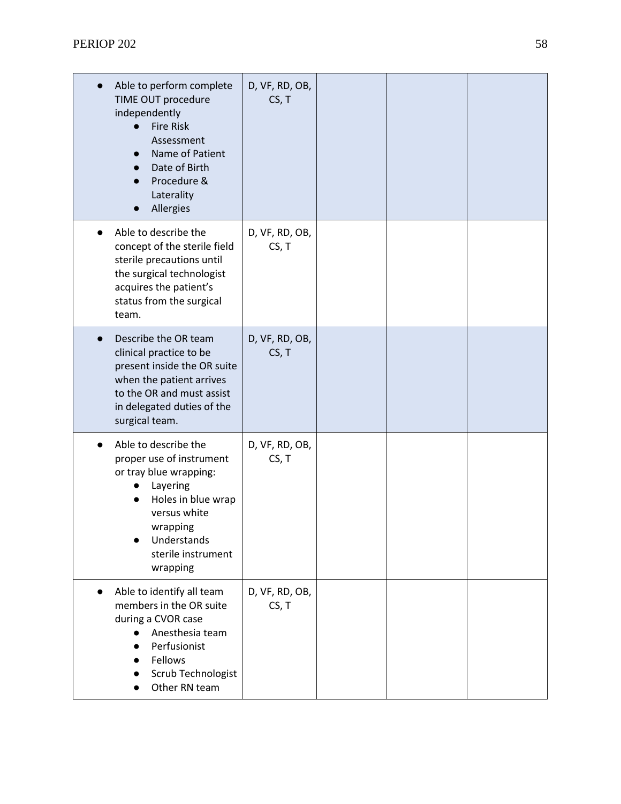| Able to perform complete<br>TIME OUT procedure<br>independently<br><b>Fire Risk</b><br>Assessment<br>Name of Patient<br>Date of Birth<br>Procedure &<br>Laterality<br>Allergies           | D, VF, RD, OB,<br>CS, T |  |  |
|-------------------------------------------------------------------------------------------------------------------------------------------------------------------------------------------|-------------------------|--|--|
| Able to describe the<br>concept of the sterile field<br>sterile precautions until<br>the surgical technologist<br>acquires the patient's<br>status from the surgical<br>team.             | D, VF, RD, OB,<br>CS, T |  |  |
| Describe the OR team<br>clinical practice to be<br>present inside the OR suite<br>when the patient arrives<br>to the OR and must assist<br>in delegated duties of the<br>surgical team.   | D, VF, RD, OB,<br>CS, T |  |  |
| Able to describe the<br>proper use of instrument<br>or tray blue wrapping:<br>Layering<br>Holes in blue wrap<br>versus white<br>wrapping<br>Understands<br>sterile instrument<br>wrapping | D, VF, RD, OB,<br>CS, T |  |  |
| Able to identify all team<br>$\bullet$<br>members in the OR suite<br>during a CVOR case<br>Anesthesia team<br>Perfusionist<br>Fellows<br>Scrub Technologist<br>Other RN team              | D, VF, RD, OB,<br>CS, T |  |  |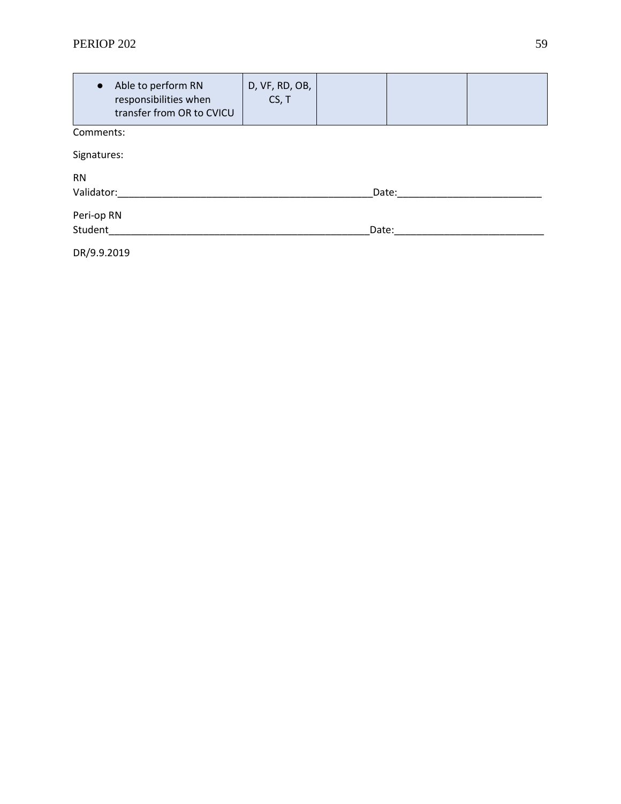## **PERIOP 202** 59

| $\bullet$   | Able to perform RN<br>responsibilities when<br>transfer from OR to CVICU | D, VF, RD, OB,<br>CS, T |       |  |  |  |
|-------------|--------------------------------------------------------------------------|-------------------------|-------|--|--|--|
| Comments:   |                                                                          |                         |       |  |  |  |
| Signatures: |                                                                          |                         |       |  |  |  |
| <b>RN</b>   |                                                                          |                         |       |  |  |  |
| Validator:  | Date:                                                                    |                         |       |  |  |  |
| Peri-op RN  |                                                                          |                         |       |  |  |  |
| Student     |                                                                          |                         | Date: |  |  |  |
| DR/9.9.2019 |                                                                          |                         |       |  |  |  |